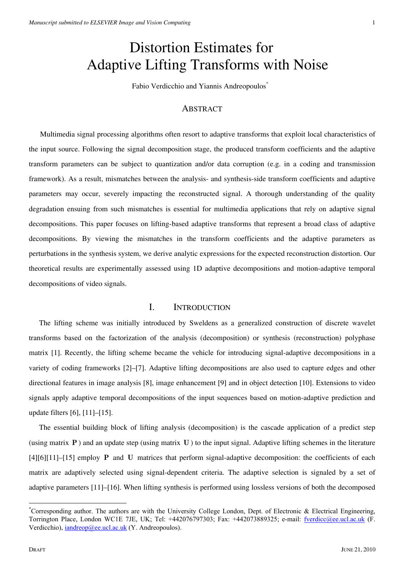# Distortion Estimates for Adaptive Lifting Transforms with Noise

Fabio Verdicchio and Yiannis Andreopoulos\*

## **ABSTRACT**

 Multimedia signal processing algorithms often resort to adaptive transforms that exploit local characteristics of the input source. Following the signal decomposition stage, the produced transform coefficients and the adaptive transform parameters can be subject to quantization and/or data corruption (e.g. in a coding and transmission framework). As a result, mismatches between the analysis- and synthesis-side transform coefficients and adaptive parameters may occur, severely impacting the reconstructed signal. A thorough understanding of the quality degradation ensuing from such mismatches is essential for multimedia applications that rely on adaptive signal decompositions. This paper focuses on lifting-based adaptive transforms that represent a broad class of adaptive decompositions. By viewing the mismatches in the transform coefficients and the adaptive parameters as perturbations in the synthesis system, we derive analytic expressions for the expected reconstruction distortion. Our theoretical results are experimentally assessed using 1D adaptive decompositions and motion-adaptive temporal decompositions of video signals.

## I. INTRODUCTION

The lifting scheme was initially introduced by Sweldens as a generalized construction of discrete wavelet transforms based on the factorization of the analysis (decomposition) or synthesis (reconstruction) polyphase matrix [1]. Recently, the lifting scheme became the vehicle for introducing signal-adaptive decompositions in a variety of coding frameworks [2]–[7]. Adaptive lifting decompositions are also used to capture edges and other directional features in image analysis [8], image enhancement [9] and in object detection [10]. Extensions to video signals apply adaptive temporal decompositions of the input sequences based on motion-adaptive prediction and update filters [6], [11]–[15].

The essential building block of lifting analysis (decomposition) is the cascade application of a predict step (using matrix **P**) and an update step (using matrix **U** ) to the input signal. Adaptive lifting schemes in the literature [4][6][11]–[15] employ **P** and **U** matrices that perform signal-adaptive decomposition: the coefficients of each matrix are adaptively selected using signal-dependent criteria. The adaptive selection is signaled by a set of adaptive parameters [11]–[16]. When lifting synthesis is performed using lossless versions of both the decomposed

<sup>\*</sup> Corresponding author. The authors are with the University College London, Dept. of Electronic & Electrical Engineering, Torrington Place, London WC1E 7JE, UK; Tel: +442076797303; Fax: +442073889325; e-mail: fverdicc@ee.ucl.ac.uk (F. Verdicchio), iandreop@ee.ucl.ac.uk (Y. Andreopoulos).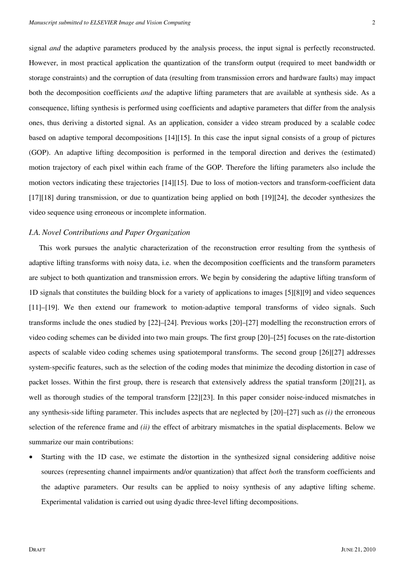signal *and* the adaptive parameters produced by the analysis process, the input signal is perfectly reconstructed. However, in most practical application the quantization of the transform output (required to meet bandwidth or storage constraints) and the corruption of data (resulting from transmission errors and hardware faults) may impact both the decomposition coefficients *and* the adaptive lifting parameters that are available at synthesis side. As a consequence, lifting synthesis is performed using coefficients and adaptive parameters that differ from the analysis ones, thus deriving a distorted signal. As an application, consider a video stream produced by a scalable codec based on adaptive temporal decompositions [14][15]. In this case the input signal consists of a group of pictures (GOP). An adaptive lifting decomposition is performed in the temporal direction and derives the (estimated) motion trajectory of each pixel within each frame of the GOP. Therefore the lifting parameters also include the motion vectors indicating these trajectories [14][15]. Due to loss of motion-vectors and transform-coefficient data [17][18] during transmission, or due to quantization being applied on both [19][24], the decoder synthesizes the video sequence using erroneous or incomplete information.

#### *I.A. Novel Contributions and Paper Organization*

This work pursues the analytic characterization of the reconstruction error resulting from the synthesis of adaptive lifting transforms with noisy data, i.e. when the decomposition coefficients and the transform parameters are subject to both quantization and transmission errors. We begin by considering the adaptive lifting transform of 1D signals that constitutes the building block for a variety of applications to images [5][8][9] and video sequences [11]–[19]. We then extend our framework to motion-adaptive temporal transforms of video signals. Such transforms include the ones studied by [22]–[24]. Previous works [20]–[27] modelling the reconstruction errors of video coding schemes can be divided into two main groups. The first group [20]–[25] focuses on the rate-distortion aspects of scalable video coding schemes using spatiotemporal transforms. The second group [26][27] addresses system-specific features, such as the selection of the coding modes that minimize the decoding distortion in case of packet losses. Within the first group, there is research that extensively address the spatial transform [20][21], as well as thorough studies of the temporal transform [22][23]. In this paper consider noise-induced mismatches in any synthesis-side lifting parameter. This includes aspects that are neglected by [20]–[27] such as *(i)* the erroneous selection of the reference frame and *(ii)* the effect of arbitrary mismatches in the spatial displacements. Below we summarize our main contributions:

Starting with the 1D case, we estimate the distortion in the synthesized signal considering additive noise sources (representing channel impairments and/or quantization) that affect *both* the transform coefficients and the adaptive parameters. Our results can be applied to noisy synthesis of any adaptive lifting scheme. Experimental validation is carried out using dyadic three-level lifting decompositions.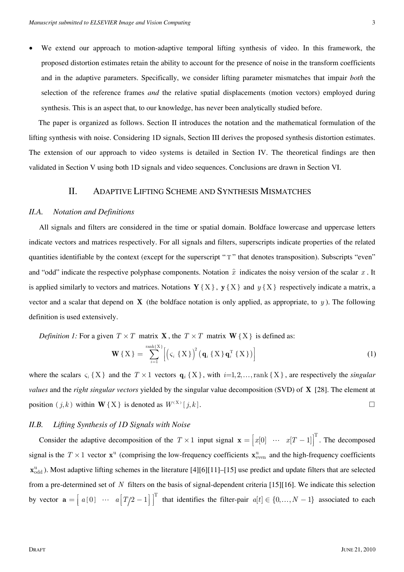• We extend our approach to motion-adaptive temporal lifting synthesis of video. In this framework, the proposed distortion estimates retain the ability to account for the presence of noise in the transform coefficients and in the adaptive parameters. Specifically, we consider lifting parameter mismatches that impair *both* the selection of the reference frames *and* the relative spatial displacements (motion vectors) employed during synthesis. This is an aspect that, to our knowledge, has never been analytically studied before.

 The paper is organized as follows. Section II introduces the notation and the mathematical formulation of the lifting synthesis with noise. Considering 1D signals, Section III derives the proposed synthesis distortion estimates. The extension of our approach to video systems is detailed in Section IV. The theoretical findings are then validated in Section V using both 1D signals and video sequences. Conclusions are drawn in Section VI.

## II. ADAPTIVE LIFTING SCHEME AND SYNTHESIS MISMATCHES

#### *II.A. Notation and Definitions*

All signals and filters are considered in the time or spatial domain. Boldface lowercase and uppercase letters indicate vectors and matrices respectively. For all signals and filters, superscripts indicate properties of the related quantities identifiable by the context (except for the superscript "T" that denotes transposition). Subscripts "even" and "odd" indicate the respective polyphase components. Notation  $\hat{x}$  indicates the noisy version of the scalar *x*. It is applied similarly to vectors and matrices. Notations  $\mathbf{Y} \{X\}$ ,  $\mathbf{y} \{X\}$  and  $y \{X\}$  respectively indicate a matrix, a vector and a scalar that depend on **X** (the boldface notation is only applied, as appropriate, to  $y$ ). The following definition is used extensively.

*Definition 1:* For a given  $T \times T$  matrix **X**, the  $T \times T$  matrix **W**{X} is defined as:

$$
\mathbf{W}\left\{X\right\} = \sum_{i=1}^{\text{rank}\left\{X\right\}} \left[ \left(\varsigma_i \left\{X\right\}\right)^2 \left(\mathbf{q}_i \left\{X\right\} \mathbf{q}_i^{\text{T}} \left\{X\right\}\right) \right] \tag{1}
$$

where the scalars  $\varsigma_i$  {X} and the  $T \times 1$  vectors  $\mathbf{q}_i$  {X}, with  $i=1,2,...,$  rank {X}, are respectively the *singular values* and the *right singular vectors* yielded by the singular value decomposition (SVD) of **X** [28]. The element at position  $(j,k)$  within **W**{X} is denoted as  $W^{(X)}[j,k]$ .

#### *II.B. Lifting Synthesis of 1D Signals with Noise*

Consider the adaptive decomposition of the  $T \times 1$  input signal  $\mathbf{x} = \begin{bmatrix} x[0] & \cdots & x[T-1] \end{bmatrix}^T$ . The decomposed signal is the  $T \times 1$  vector  $\mathbf{x}^{\text{u}}$  (comprising the low-frequency coefficients  $\mathbf{x}_{\text{even}}^{\text{u}}$  and the high-frequency coefficients  $\mathbf{x}_{\text{odd}}^{\text{u}}$ ). Most adaptive lifting schemes in the literature [4][6][11]–[15] use predict and update filters that are selected from a pre-determined set of *N* filters on the basis of signal-dependent criteria [15][16]. We indicate this selection by vector  $\mathbf{a} = \begin{bmatrix} a[0] & \cdots & a[T/2-1] \end{bmatrix}^T$  that identifies the filter-pair  $a[t] \in \{0, ..., N-1\}$  associated to each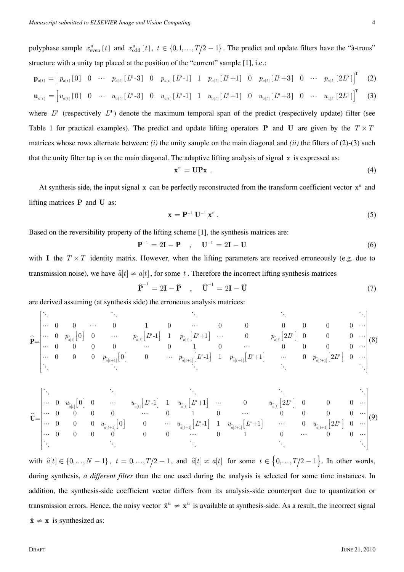polyphase sample  $x_{\text{even}}^u$  [*t*] and  $x_{\text{odd}}^u$  [*t*],  $t \in \{0, 1, ..., T/2 - 1\}$ . The predict and update filters have the "à-trous" structure with a unity tap placed at the position of the "current" sample [1], i.e.:

$$
\mathbf{p}_{a[t]} = \begin{bmatrix} p_{a[t]}[0] & 0 & \cdots & p_{a[t]}[L^p-3] & 0 & p_{a[t]}[L^p-1] & 1 & p_{a[t]}[L^p+1] & 0 & p_{a[t]}[L^p+3] & 0 & \cdots & p_{a[t]}[2L^p] \end{bmatrix}^T
$$
(2)  

$$
\mathbf{u}_{a[t]} = \begin{bmatrix} u_{a[t]}[0] & 0 & \cdots & u_{a[t]}[L^p-3] & 0 & u_{a[t]}[L^p-1] & 1 & u_{a[t]}[L^p+1] & 0 & u_{a[t]}[L^p+3] & 0 & \cdots & u_{a[t]}[2L^p] \end{bmatrix}^T
$$
(3)

where  $L^p$  (respectively  $L^u$ ) denote the maximum temporal span of the predict (respectively update) filter (see Table 1 for practical examples). The predict and update lifting operators **P** and **U** are given by the  $T \times T$ matrices whose rows alternate between: *(i)* the unity sample on the main diagonal and *(ii)* the filters of (2)-(3) such that the unity filter tap is on the main diagonal. The adaptive lifting analysis of signal **x** is expressed as:

$$
\mathbf{x}^{\mathrm{u}} = \mathbf{U} \mathbf{P} \mathbf{x} \tag{4}
$$

At synthesis side, the input signal  $x$  can be perfectly reconstructed from the transform coefficient vector  $x<sup>u</sup>$  and lifting matrices **P** and **U** as:

$$
\mathbf{x} = \mathbf{P}^{-1} \mathbf{U}^{-1} \mathbf{x}^{\mathrm{u}} \,. \tag{5}
$$

Based on the reversibility property of the lifting scheme [1], the synthesis matrices are:

$$
\mathbf{P}^{-1} = 2\mathbf{I} - \mathbf{P} \quad , \quad \mathbf{U}^{-1} = 2\mathbf{I} - \mathbf{U} \tag{6}
$$

with **I** the  $T \times T$  identity matrix. However, when the lifting parameters are received erroneously (e.g. due to transmission noise), we have  $\hat{a}[t] \neq a[t]$ , for some t. Therefore the incorrect lifting synthesis matrices

$$
\widehat{\mathbf{P}}^{-1} = 2\mathbf{I} - \widehat{\mathbf{P}} \quad , \quad \widehat{\mathbf{U}}^{-1} = 2\mathbf{I} - \widehat{\mathbf{U}} \tag{7}
$$

are derived assuming (at synthesis side) the erroneous analysis matrices:

$$
\hat{\mathbf{P}} = \begin{bmatrix} \ddots & & & & & \ddots & & & & \ddots & & & & \cdots \\ \cdots & 0 & 0 & \cdots & 0 & 1 & 0 & \cdots & 0 & 0 & 0 & 0 & 0 & \cdots \\ \cdots & 0 & p_{\hat{a}[t]}[0] & 0 & \cdots & p_{\hat{a}[t]}[E-1] & 1 & p_{\hat{a}[t]}[E+1] & \cdots & 0 & p_{\hat{a}[t]}[2L^p] & 0 & 0 & 0 & \cdots \\ \cdots & 0 & 0 & 0 & 0 & \cdots & 0 & 1 & 0 & \cdots & 0 & 0 & 0 & 0 & \cdots \\ \cdots & 0 & 0 & 0 & p_{\hat{a}[t+1]}[0] & 0 & \cdots & p_{\hat{a}[t+1]}[E-1] & 1 & p_{\hat{a}[t+1]}[E+1] & \cdots & 0 & p_{\hat{a}[t+1]}[2L^p] & 0 & \cdots \\ \ddots & & & & & & & & \ddots \end{bmatrix} (8)
$$

$$
\widehat{\mathbf{U}}\hspace{-1mm}=\hspace{-1.5mm}\begin{bmatrix} \ddots & & & & & & \ddots & & & & \vdots\\ \cdots & 0 & u_{\widehat{a}[t]} \big[0\big] & 0 & & \cdots & & u_{\widehat{a}[t]} \big[L^\text{u}-1\big] & 1 & u_{\widehat{a}[t]} \big[L^\text{u}+1\big] & \cdots & & 0 & & u_{\widehat{a}[t]} \big[2L^\text{u}\big] & 0 & & 0 & 0 & \cdots\\ \cdots & 0 & 0 & 0 & 0 & & \cdots & 0 & 1 & 0 & & \cdots & 0 & 0 & 0 & 0 & \cdots\\ \cdots & 0 & 0 & 0 & u_{\widehat{a}[t+1]} \big[0\big] & 0 & & \cdots & u_{\widehat{a}[t+1]} \big[L^\text{u}-1\big] & 1 & u_{\widehat{a}[t+1]} \big[L^\text{u}+1\big] & & \cdots & & 0 & u_{\widehat{a}[t+1]} \big[2L^\text{u}\big] & 0 & \cdots\\ \cdots & 0 & 0 & 0 & 0 & & 0 & & \cdots & 0 & 1 & & \cdots & 0 & 0 & \cdots\\ \ddots & & & & & & & & & & & & \ddots & & \ddots & & \ddots \end{bmatrix} \hspace{-1.5mm}\begin{bmatrix} \ddots & & & & & & & & \ddots\\ \cdots & 0 & 0 & 0 & 0 & & 0 & & \cdots\\ \cdots & 0 & 0 & 0 & 0 & & 0 & & \cdots\\ \vdots & & & & & & & & & & \ddots\\ \vdots & & & & & & & & & & \ddots \end{bmatrix}
$$

with  $\hat{a}[t] \in \{0, ..., N-1\}$ ,  $t = 0, ..., T/2-1$ , and  $\hat{a}[t] \neq a[t]$  for some  $t \in \{0, ..., T/2-1\}$ . In other words, during synthesis, *a different filter* than the one used during the analysis is selected for some time instances. In addition, the synthesis-side coefficient vector differs from its analysis-side counterpart due to quantization or transmission errors. Hence, the noisy vector  $\hat{\mathbf{x}}^{\text{u}} \neq \mathbf{x}^{\text{u}}$  is available at synthesis-side. As a result, the incorrect signal  $\hat{\mathbf{x}} \neq \mathbf{x}$  is synthesized as: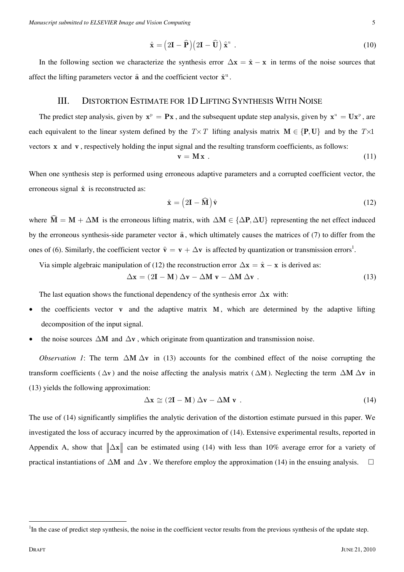$$
\hat{\mathbf{x}} = (2\mathbf{I} - \hat{\mathbf{P}})(2\mathbf{I} - \hat{\mathbf{U}})\hat{\mathbf{x}}^{\mathrm{u}}.
$$
\n(10)

In the following section we characterize the synthesis error  $\Delta x = \hat{x} - x$  in terms of the noise sources that affect the lifting parameters vector  $\hat{\mathbf{a}}$  and the coefficient vector  $\hat{\mathbf{x}}^{\text{u}}$ .

## III. DISTORTION ESTIMATE FOR 1D LIFTING SYNTHESIS WITH NOISE

The predict step analysis, given by  $x^p = Px$ , and the subsequent update step analysis, given by  $x^u = Ux^p$ , are each equivalent to the linear system defined by the  $T \times T$  lifting analysis matrix  $M \in \{P, U\}$  and by the  $T \times 1$ vectors **x** and **v** , respectively holding the input signal and the resulting transform coefficients, as follows:

$$
\mathbf{v} = \mathbf{M}\mathbf{x} \tag{11}
$$

When one synthesis step is performed using erroneous adaptive parameters and a corrupted coefficient vector, the erroneous signal  $\hat{x}$  is reconstructed as:

$$
\hat{\mathbf{x}} = (2\mathbf{I} - \widehat{\mathbf{M}})\hat{\mathbf{v}} \tag{12}
$$

where  $\widehat{M} = M + \Delta M$  is the erroneous lifting matrix, with  $\Delta M \in \{\Delta P, \Delta U\}$  representing the net effect induced by the erroneous synthesis-side parameter vector **a** , which ultimately causes the matrices of (7) to differ from the ones of (6). Similarly, the coefficient vector  $\hat{\mathbf{v}} = \mathbf{v} + \Delta \mathbf{v}$  is affected by quantization or transmission errors<sup>1</sup>.

Via simple algebraic manipulation of (12) the reconstruction error  $\Delta x = \hat{x} - x$  is derived as:

$$
\Delta x = (2I - M) \Delta v - \Delta M v - \Delta M \Delta v . \qquad (13)
$$

The last equation shows the functional dependency of the synthesis error ∆**x** with:

- the coefficients vector **v** and the adaptive matrix **M**, which are determined by the adaptive lifting decomposition of the input signal.
- the noise sources ∆**M** and ∆**v** , which originate from quantization and transmission noise.

*Observation 1*: The term  $\Delta M \Delta v$  in (13) accounts for the combined effect of the noise corrupting the transform coefficients ( $\Delta$ **v**) and the noise affecting the analysis matrix ( $\Delta$ **M**). Neglecting the term  $\Delta$ **M**  $\Delta$ **v** in (13) yields the following approximation:

$$
\Delta x \cong (2I - M) \Delta v - \Delta M v . \tag{14}
$$

The use of (14) significantly simplifies the analytic derivation of the distortion estimate pursued in this paper. We investigated the loss of accuracy incurred by the approximation of (14). Extensive experimental results, reported in Appendix A, show that  $\|\Delta x\|$  can be estimated using (14) with less than 10% average error for a variety of practical instantiations of  $\Delta M$  and  $\Delta v$ . We therefore employ the approximation (14) in the ensuing analysis.  $\square$ 

<sup>&</sup>lt;sup>1</sup>In the case of predict step synthesis, the noise in the coefficient vector results from the previous synthesis of the update step.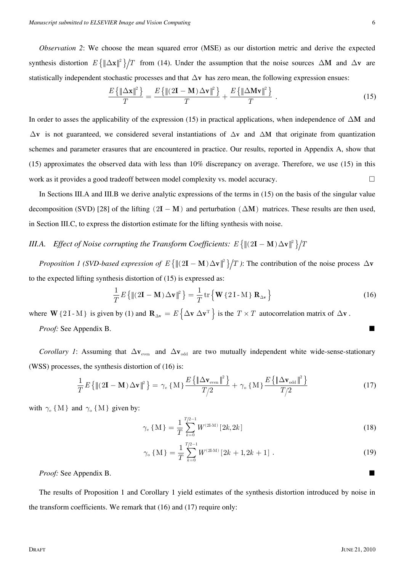*Observation 2*: We choose the mean squared error (MSE) as our distortion metric and derive the expected synthesis distortion  $E\left\{\|\Delta \mathbf{x}\|^2\right\}/T$  from (14). Under the assumption that the noise sources  $\Delta \mathbf{M}$  and  $\Delta \mathbf{v}$  are statistically independent stochastic processes and that ∆**v** has zero mean, the following expression ensues:

$$
\frac{E\left\{\left\|\Delta\mathbf{x}\right\|^2\right\}}{T} = \frac{E\left\{\left\|\left(2\mathbf{I} - \mathbf{M}\right)\Delta\mathbf{v}\right\|^2\right\}}{T} + \frac{E\left\{\left\|\Delta\mathbf{M}\mathbf{v}\right\|^2\right\}}{T} \ . \tag{15}
$$

In order to asses the applicability of the expression (15) in practical applications, when independence of ∆**M** and ∆**v** is not guaranteed, we considered several instantiations of ∆**v** and ∆**M** that originate from quantization schemes and parameter erasures that are encountered in practice. Our results, reported in Appendix A, show that (15) approximates the observed data with less than 10% discrepancy on average. Therefore, we use (15) in this work as it provides a good tradeoff between model complexity vs. model accuracy.

In Sections III.A and III.B we derive analytic expressions of the terms in (15) on the basis of the singular value decomposition (SVD) [28] of the lifting  $(2I - M)$  and perturbation  $(\Delta M)$  matrices. These results are then used, in Section III.C, to express the distortion estimate for the lifting synthesis with noise.

## *III.A. Effect of Noise corrupting the Transform Coefficients:*  $E\{\|(2I - M)\Delta v\|^2\}/T$

*Proposition 1 (SVD-based expression of E*  $\{ \|(2\mathbf{I} - \mathbf{M}) \Delta \mathbf{v} \|^2 \}/T$ ): The contribution of the noise process  $\Delta \mathbf{v}$ to the expected lifting synthesis distortion of (15) is expressed as:

$$
\frac{1}{T}E\left\{\left\|(2\mathbf{I} - \mathbf{M})\Delta\mathbf{v}\right\|^2\right\} = \frac{1}{T}\operatorname{tr}\left\{\mathbf{W}\left\{2\mathbf{I} - \mathbf{M}\right\}\mathbf{R}_{\Delta\mathbf{v}}\right\} \tag{16}
$$

where **W**{2I-M} is given by (1) and  ${\bf R}_{\Delta v} = E\{\Delta v \Delta v^T\}$  is the  $T \times T$  autocorrelation matrix of  $\Delta v$ . *Proof:* See Appendix B.

*Corollary 1*: Assuming that  $\Delta v_{\text{even}}$  and  $\Delta v_{\text{odd}}$  are two mutually independent white wide-sense-stationary (WSS) processes, the synthesis distortion of (16) is:

$$
\frac{1}{T}E\left\{\left\|\left(2\mathbf{I}-\mathbf{M}\right)\Delta\mathbf{v}\right\|^2\right\} = \gamma_e\left\{M\right\}\frac{E\left\{\left\|\Delta\mathbf{v}_{\text{even}}\right\|^2\right\}}{T/2} + \gamma_o\left\{M\right\}\frac{E\left\{\left\|\Delta\mathbf{v}_{\text{odd}}\right\|^2\right\}}{T/2}
$$
\n(17)

with  $\gamma_e$  {M} and  $\gamma_o$  {M} given by:

$$
\gamma_{\rm e} \{ \mathbf{M} \} = \frac{1}{T} \sum_{k=0}^{T/2-1} W^{(2\rm{LM})} \left[ 2k, 2k \right] \tag{18}
$$

$$
\gamma_{\text{o}}\left\{\mathbf{M}\right\} = \frac{1}{T} \sum_{k=0}^{T/2-1} W^{(2\text{LM})}\left[2k+1, 2k+1\right].\tag{19}
$$

*Proof:* See Appendix B.

The results of Proposition 1 and Corollary 1 yield estimates of the synthesis distortion introduced by noise in the transform coefficients. We remark that (16) and (17) require only: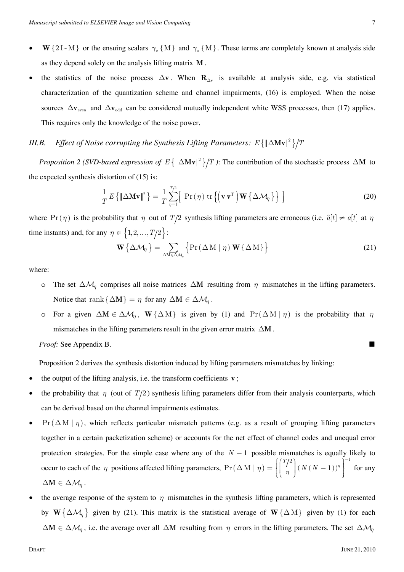- **W**{2I-M} or the ensuing scalars  $\gamma_e$  {M} and  $\gamma_o$  {M}. These terms are completely known at analysis side as they depend solely on the analysis lifting matrix **M** .
- the statistics of the noise process  $\Delta v$ . When **R**<sub>∆</sub>**v** is available at analysis side, e.g. via statistical characterization of the quantization scheme and channel impairments, (16) is employed. When the noise sources ∆**v**<sub>even</sub> and ∆**v**<sub>odd</sub> can be considered mutually independent white WSS processes, then (17) applies. This requires only the knowledge of the noise power.

## *III.B. Effect of Noise corrupting the Synthesis Lifting Parameters:*  $E\{\|\Delta \mathbf{Mv}\|^2\}/T$

*Proposition 2 (SVD-based expression of E*  ${ \|\Delta Mv\|^2 }$  ): The contribution of the stochastic process  $\Delta M$  to the expected synthesis distortion of (15) is:

$$
\frac{1}{T}E\left\{\|\Delta \mathbf{M}\mathbf{v}\|^2\right\} = \frac{1}{T} \sum_{\eta=1}^{T/2} \left[ \Pr\left(\eta\right) \text{tr}\left\{\left(\mathbf{v}\,\mathbf{v}^{\mathrm{T}}\right) \mathbf{W}\left\{\Delta \mathcal{M}_{\eta}\right\}\right\} \right]
$$
\n(20)

where Pr( $\eta$ ) is the probability that  $\eta$  out of  $T/2$  synthesis lifting parameters are erroneous (i.e.  $\hat{a}[t] \neq a[t]$  at  $\eta$ time instants) and, for any  $\eta \in \{1, 2, ..., T/2\}$ :

$$
\mathbf{W}\left\{\Delta\mathcal{M}_{\eta}\right\} = \sum_{\Delta M \in \Delta\mathcal{M}_{\eta}} \left\{ \Pr\left(\Delta M \mid \eta\right) \mathbf{W}\left\{\Delta M\right\} \right\} \tag{21}
$$

where:

- o The set ∆M*η* comprises all noise matrices ∆**M** resulting from *η* mismatches in the lifting parameters. Notice that rank { $\Delta M$ } =  $\eta$  for any  $\Delta M \in \Delta M_\eta$ .
- o For a given  $\Delta M \in \Delta M_\eta$ ,  $W \{\Delta M\}$  is given by (1) and  $Pr(\Delta M | \eta)$  is the probability that  $\eta$ mismatches in the lifting parameters result in the given error matrix ∆**M** .

*Proof:* See Appendix B.

Proposition 2 derives the synthesis distortion induced by lifting parameters mismatches by linking:

- the output of the lifting analysis, i.e. the transform coefficients **v**;
- the probability that  $\eta$  (out of  $T/2$ ) synthesis lifting parameters differ from their analysis counterparts, which can be derived based on the channel impairments estimates.
- Pr  $(\Delta M | \eta)$ , which reflects particular mismatch patterns (e.g. as a result of grouping lifting parameters together in a certain packetization scheme) or accounts for the net effect of channel codes and unequal error protection strategies. For the simple case where any of the *N* − 1 possible mismatches is equally likely to occur to each of the *η* positions affected lifting parameters,  $\Pr(\Delta M | \eta) = \left\{ \begin{array}{c} \eta \\ \eta \end{array} \right.$  ( $N(N-1)$ ) 2)  $1^{-1}$  $Pr(\Delta M | \eta) = \left\{ \begin{array}{c} I \\ I \end{array} \right.$   $(N(N-1))$  $\Delta M | \eta$   $= \left\{ \left( \frac{T/2}{\eta} \right) (N(N-1))^{\eta} \right\}^{-1}$  for any  $\Delta M \in \Delta M_n$ .
- the average response of the system to  $\eta$  mismatches in the synthesis lifting parameters, which is represented by **W**{∆M*<sup>η</sup>* } given by (21). This matrix is the statistical average of **W**{∆ M} given by (1) for each  $\Delta M \in \Delta M_\eta$ , i.e. the average over all  $\Delta M$  resulting from  $\eta$  errors in the lifting parameters. The set  $\Delta M_\eta$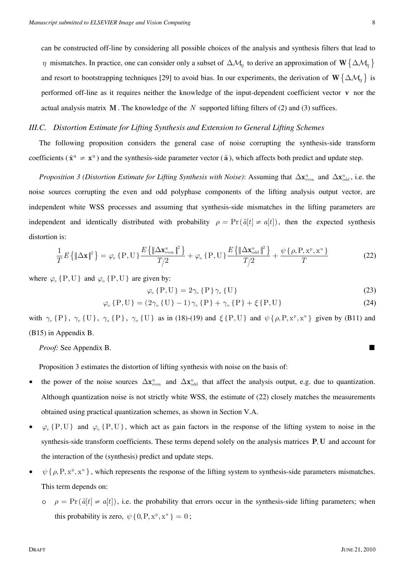can be constructed off-line by considering all possible choices of the analysis and synthesis filters that lead to *η* mismatches. In practice, one can consider only a subset of  $\Delta M_\eta$  to derive an approximation of  $\mathbf{W} \{\Delta M_\eta\}$ and resort to bootstrapping techniques [29] to avoid bias. In our experiments, the derivation of  $\mathbf{W} \{\Delta \mathcal{M}_\eta\}$  is performed off-line as it requires neither the knowledge of the input-dependent coefficient vector **v** nor the actual analysis matrix **M** . The knowledge of the *N* supported lifting filters of (2) and (3) suffices.

#### *III.C. Distortion Estimate for Lifting Synthesis and Extension to General Lifting Schemes*

The following proposition considers the general case of noise corrupting the synthesis-side transform coefficients ( $\hat{\mathbf{x}}^{\text{u}} \neq \mathbf{x}^{\text{u}}$ ) and the synthesis-side parameter vector ( $\hat{\mathbf{a}}$ ), which affects both predict and update step.

*Proposition 3 (Distortion Estimate for Lifting Synthesis with Noise):* Assuming that  $\Delta x^u_{\text{even}}$  and  $\Delta x^u_{\text{odd}}$ , i.e. the noise sources corrupting the even and odd polyphase components of the lifting analysis output vector, are independent white WSS processes and assuming that synthesis-side mismatches in the lifting parameters are independent and identically distributed with probability  $\rho = \Pr(\hat{a}[t] \neq a[t])$ , then the expected synthesis distortion is:

$$
\frac{1}{T}E\left\{\left\|\Delta\mathbf{x}\right\|^2\right\} = \varphi_{\text{e}}\left\{P, U\right\} \frac{E\left\{\left\|\Delta\mathbf{x}_{\text{even}}^{\text{u}}\right\|^2\right\}}{T/2} + \varphi_{\text{o}}\left\{P, U\right\} \frac{E\left\{\left\|\Delta\mathbf{x}_{\text{odd}}^{\text{u}}\right\|^2\right\}}{T/2} + \frac{\psi\left\{\rho, P, \mathbf{x}^{\text{p}}, \mathbf{x}^{\text{u}}\right\}}{T}
$$
\n(22)

where  $\varphi_e \{P, U\}$  and  $\varphi_o \{P, U\}$  are given by:

$$
\varphi_{\rm e} \{P, U\} = 2\gamma_{\rm e} \{P\} \gamma_{\rm e} \{U\} \tag{23}
$$

$$
\varphi_{o} \{ P, U \} = (2\gamma_{o} \{ U \} - 1) \gamma_{e} \{ P \} + \gamma_{o} \{ P \} + \xi \{ P, U \}
$$
\n(24)

with  $\gamma_e \{P\}$ ,  $\gamma_e \{U\}$ ,  $\gamma_o \{P\}$ ,  $\gamma_o \{U\}$  as in (18)-(19) and  $\xi \{P, U\}$  and  $\psi \{\rho, P, x^p, x^u\}$  given by (B11) and (B15) in Appendix B.

*Proof:* See Appendix B.

Proposition 3 estimates the distortion of lifting synthesis with noise on the basis of:

- the power of the noise sources  $\Delta x_{even}^u$  and  $\Delta x_{odd}^u$  that affect the analysis output, e.g. due to quantization. Although quantization noise is not strictly white WSS, the estimate of (22) closely matches the measurements obtained using practical quantization schemes, as shown in Section V.A.
- $\varphi_e$  {P, U} and  $\varphi_o$  {P, U}, which act as gain factors in the response of the lifting system to noise in the synthesis-side transform coefficients. These terms depend solely on the analysis matrices **P**, **U** and account for the interaction of the (synthesis) predict and update steps.
- $\psi$  {  $\rho$ , P, x<sup>p</sup>, x<sup>u</sup> }, which represents the response of the lifting system to synthesis-side parameters mismatches. This term depends on:
	- $\rho = \Pr(\hat{a}[t] \neq a[t])$ , i.e. the probability that errors occur in the synthesis-side lifting parameters; when this probability is zero,  $\psi \{0, P, x^p, x^u\} = 0$ ;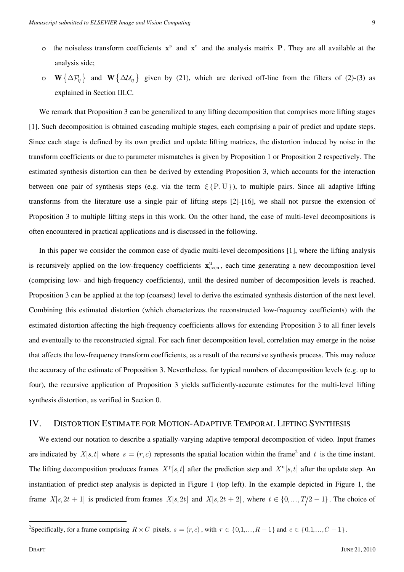- o the noiseless transform coefficients  $x^p$  and  $x^u$  and the analysis matrix **P**. They are all available at the analysis side;
- o **W**{∆P*<sup>η</sup>* } and **W**{∆U*<sup>η</sup>* } given by (21), which are derived off-line from the filters of (2)-(3) as explained in Section III.C.

We remark that Proposition 3 can be generalized to any lifting decomposition that comprises more lifting stages [1]. Such decomposition is obtained cascading multiple stages, each comprising a pair of predict and update steps. Since each stage is defined by its own predict and update lifting matrices, the distortion induced by noise in the transform coefficients or due to parameter mismatches is given by Proposition 1 or Proposition 2 respectively. The estimated synthesis distortion can then be derived by extending Proposition 3, which accounts for the interaction between one pair of synthesis steps (e.g. via the term *ξ* {P,U}), to multiple pairs. Since all adaptive lifting transforms from the literature use a single pair of lifting steps [2]-[16], we shall not pursue the extension of Proposition 3 to multiple lifting steps in this work. On the other hand, the case of multi-level decompositions is often encountered in practical applications and is discussed in the following.

In this paper we consider the common case of dyadic multi-level decompositions [1], where the lifting analysis is recursively applied on the low-frequency coefficients  $x_{even}^u$ , each time generating a new decomposition level (comprising low- and high-frequency coefficients), until the desired number of decomposition levels is reached. Proposition 3 can be applied at the top (coarsest) level to derive the estimated synthesis distortion of the next level. Combining this estimated distortion (which characterizes the reconstructed low-frequency coefficients) with the estimated distortion affecting the high-frequency coefficients allows for extending Proposition 3 to all finer levels and eventually to the reconstructed signal. For each finer decomposition level, correlation may emerge in the noise that affects the low-frequency transform coefficients, as a result of the recursive synthesis process. This may reduce the accuracy of the estimate of Proposition 3. Nevertheless, for typical numbers of decomposition levels (e.g. up to four), the recursive application of Proposition 3 yields sufficiently-accurate estimates for the multi-level lifting synthesis distortion, as verified in Section 0.

#### IV. DISTORTION ESTIMATE FOR MOTION-ADAPTIVE TEMPORAL LIFTING SYNTHESIS

We extend our notation to describe a spatially-varying adaptive temporal decomposition of video. Input frames are indicated by  $X[s, t]$  where  $s = (r, c)$  represents the spatial location within the frame<sup>2</sup> and t is the time instant. The lifting decomposition produces frames  $X<sup>p</sup>[s,t]$  after the prediction step and  $X<sup>u</sup>[s,t]$  after the update step. An instantiation of predict-step analysis is depicted in Figure 1 (top left). In the example depicted in Figure 1, the frame *X*[ $s, 2t + 1$ ] is predicted from frames *X*[ $s, 2t$ ] and *X*[ $s, 2t + 2$ ], where  $t \in \{0, ..., T/2 - 1\}$ . The choice of

<sup>&</sup>lt;sup>2</sup>Specifically, for a frame comprising  $R \times C$  pixels,  $s = (r, c)$ , with  $r \in \{0, 1, ..., R-1\}$  and  $c \in \{0, 1, ..., C-1\}$ .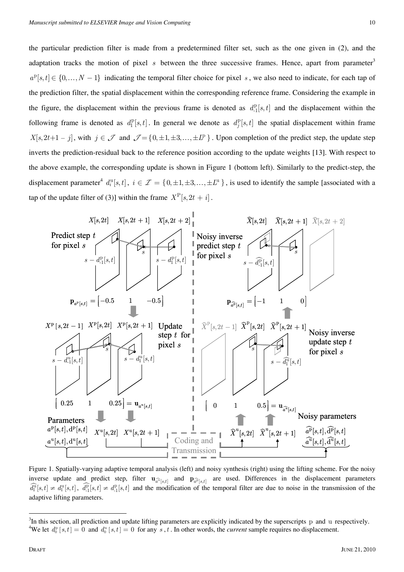the particular prediction filter is made from a predetermined filter set, such as the one given in (2), and the adaptation tracks the motion of pixel *s* between the three successive frames. Hence, apart from parameter<sup>3</sup>  $a^{\text{p}}[s,t] \in \{0,\ldots,N-1\}$  indicating the temporal filter choice for pixel *s*, we also need to indicate, for each tap of the prediction filter, the spatial displacement within the corresponding reference frame. Considering the example in the figure, the displacement within the previous frame is denoted as  $d_1^p[s,t]$  and the displacement within the following frame is denoted as  $d_1^{\text{p}}[s,t]$ . In general we denote as  $d_j^{\text{p}}[s,t]$  the spatial displacement within frame  $X[s, 2t+1-j]$ , with  $j \in \mathcal{J}$  and  $\mathcal{J} = \{0, \pm 1, \pm 3, \ldots, \pm I^p\}$ . Upon completion of the predict step, the update step inverts the prediction-residual back to the reference position according to the update weights [13]. With respect to the above example, the corresponding update is shown in Figure 1 (bottom left). Similarly to the predict-step, the displacement parameter<sup>4</sup>  $d_i^{\text{u}}[s,t]$ ,  $i \in \mathcal{I} = \{0, \pm 1, \pm 3, \ldots, \pm L^{\text{u}}\}$ , is used to identify the sample [associated with a tap of the update filter of (3)] within the frame  $X^{\text{P}}[s, 2t + i]$ .



Figure 1. Spatially-varying adaptive temporal analysis (left) and noisy synthesis (right) using the lifting scheme. For the noisy inverse update and predict step, filter  $\mathbf{u}_{\widehat{a}^{\widehat{\mu}}[s,t]}$  and  $\mathbf{p}_{\widehat{a}^{\widehat{\mu}}[s,t]}$  are used. Differences in the displacement parameters  $\widehat{d_1^n}[s,t] \neq d_1^n[s,t]$ ,  $\widehat{d_1^n}[s,t] \neq d_1^n[s,t]$  and the modification of the temporal filter are due to noise in the transmission of the adaptive lifting parameters.

<sup>&</sup>lt;sup>3</sup>In this section, all prediction and update lifting parameters are explicitly indicated by the superscripts p and u respectively.<br><sup>4</sup>We let  $d^p [a\ t] = 0$  and  $d^p [a\ t] = 0$  for any  $a\ t$ . In other words, the survent samp We let  $d_0^{\text{p}}[s,t] = 0$  and  $d_0^{\text{u}}[s,t] = 0$  for any s, t. In other words, the *current* sample requires no displacement.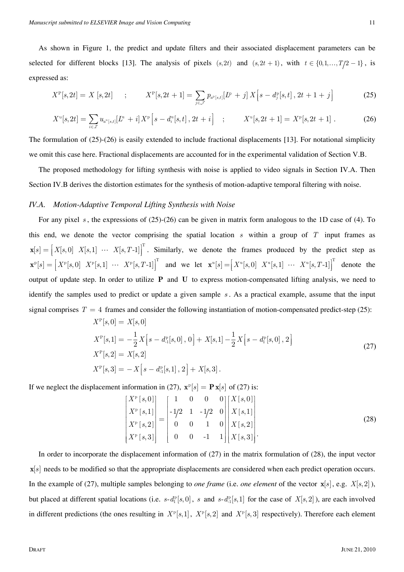As shown in Figure 1, the predict and update filters and their associated displacement parameters can be selected for different blocks [13]. The analysis of pixels  $(s, 2t)$  and  $(s, 2t + 1)$ , with  $t \in \{0, 1, ..., T/2 - 1\}$ , is expressed as:

$$
X^{\rm P}[s,2t] = X[s,2t] \quad ; \quad X^{\rm P}[s,2t+1] = \sum_{j \in \mathcal{J}} p_{a^{\rm P}[s,t]}[L^{\rm P}+j] X[s-d_j^{\rm P}[s,t],2t+1+j] \quad (25)
$$

$$
X^{\mathfrak{u}}[s,2t] = \sum_{i \in \mathcal{I}} u_{a^{\mathfrak{u}}[s,t]}[L^{\mathfrak{u}}+i]X^{\mathfrak{p}}[s-d_i^{\mathfrak{u}}[s,t],2t+i] \quad ; \qquad X^{\mathfrak{u}}[s,2t+1] = X^{\mathfrak{p}}[s,2t+1] \; . \tag{26}
$$

The formulation of  $(25)-(26)$  is easily extended to include fractional displacements [13]. For notational simplicity we omit this case here. Fractional displacements are accounted for in the experimental validation of Section V.B.

The proposed methodology for lifting synthesis with noise is applied to video signals in Section IV.A. Then Section IV.B derives the distortion estimates for the synthesis of motion-adaptive temporal filtering with noise.

## *IV.A. Motion-Adaptive Temporal Lifting Synthesis with Noise*

For any pixel *s*, the expressions of (25)-(26) can be given in matrix form analogous to the 1D case of (4). To this end, we denote the vector comprising the spatial location *s* within a group of *T* input frames as  $\mathbf{x}[s] = \begin{bmatrix} X[s,0] & X[s,1] & \cdots & X[s,T-1] \end{bmatrix}^T$ . Similarly, we denote the frames produced by the predict step as  $\mathbf{x}^{\mathbb{P}}[s] = \begin{bmatrix} X^{\mathbb{P}}[s,0] & X^{\mathbb{P}}[s,1] & \cdots & X^{\mathbb{P}}[s,T-1] \end{bmatrix}^{\mathrm{T}}$  and we let  $\mathbf{x}^{\mathbb{P}}[s] = \begin{bmatrix} X^{\mathbb{P}}[s,0] & X^{\mathbb{P}}[s,1] & \cdots & X^{\mathbb{P}}[s,T-1] \end{bmatrix}^{\mathrm{T}}$  denote the output of update step. In order to utilize **P** and **U** to express motion-compensated lifting analysis, we need to identify the samples used to predict or update a given sample *s* . As a practical example, assume that the input signal comprises  $T = 4$  frames and consider the following instantiation of motion-compensated predict-step (25):

$$
X^{P}[s,0] = X[s,0]
$$
  
\n
$$
X^{P}[s,1] = -\frac{1}{2}X[s - d_{-1}^{P}[s,0],0] + X[s,1] - \frac{1}{2}X[s - d_{-1}^{P}[s,0],2]
$$
  
\n
$$
X^{P}[s,2] = X[s,2]
$$
  
\n
$$
X^{P}[s,3] = -X[s - d_{-1}^{P}[s,1],2] + X[s,3].
$$
\n(27)

If we neglect the displacement information in (27),  $\mathbf{x}^{\text{p}}[s] = \mathbf{P}\mathbf{x}[s]$  of (27) is:

$$
\begin{bmatrix}\nX^{\text{p}}\left[s,0\right] \\
X^{\text{p}}\left[s,1\right] \\
X^{\text{p}}\left[s,2\right] \\
X^{\text{p}}\left[s,3\right]\n\end{bmatrix} = \begin{bmatrix}\n1 & 0 & 0 & 0 \\
-1/2 & 1 & -1/2 & 0 \\
0 & 0 & 1 & 0 \\
0 & 0 & -1 & 1\n\end{bmatrix} \begin{bmatrix}\nX\left[s,0\right] \\
X\left[s,1\right] \\
X\left[s,2\right] \\
X\left[s,3\right]\n\end{bmatrix} .
$$
\n(28)

 In order to incorporate the displacement information of (27) in the matrix formulation of (28), the input vector **x**[s] needs to be modified so that the appropriate displacements are considered when each predict operation occurs. In the example of (27), multiple samples belonging to *one frame* (i.e. *one element* of the vector  $\mathbf{x}[s]$ , e.g.  $X[s,2]$ ), but placed at different spatial locations (i.e.  $s-d_1^p[s,0]$ , s and  $s-d_1^p[s,1]$  for the case of  $X[s,2]$ ), are each involved in different predictions (the ones resulting in  $X^p[s,1], X^p[s,2]$  and  $X^p[s,3]$  respectively). Therefore each element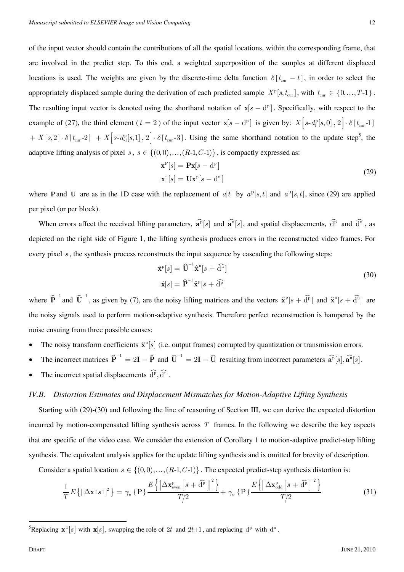of the input vector should contain the contributions of all the spatial locations, within the corresponding frame, that are involved in the predict step. To this end, a weighted superposition of the samples at different displaced locations is used. The weights are given by the discrete-time delta function  $\delta[t_{\text{cur}} - t]$ , in order to select the appropriately displaced sample during the derivation of each predicted sample  $X^p[s, t_{cur}]$ , with  $t_{cur} \in \{0, ..., T-1\}$ . The resulting input vector is denoted using the shorthand notation of  $\mathbf{x}[s - d^p]$ . Specifically, with respect to the example of (27), the third element ( $t = 2$ ) of the input vector  $\mathbf{x}[s - d^p]$  is given by:  $X[s - d^p] [s, 0], 2] \cdot \delta[t_{cur} - 1]$  $+ X[s, 2] \cdot \delta[t_{\text{cur}}-2] + X[s - d_{-1}^{\text{p}}[s, 1], 2] \cdot \delta[t_{\text{cur}}-3]$ . Using the same shorthand notation to the update step<sup>5</sup>, the adaptive lifting analysis of pixel *s*,  $s \in \{(0,0), ..., (R-1, C-1)\}$ , is compactly expressed as:

$$
\mathbf{x}^{\mathrm{P}}[s] = \mathbf{P}\mathbf{x}[s - \mathrm{d}^{\mathrm{P}}] \n\mathbf{x}^{\mathrm{u}}[s] = \mathbf{U}\mathbf{x}^{\mathrm{P}}[s - \mathrm{d}^{\mathrm{u}}]
$$
\n(29)

where **P** and **U** are as in the 1D case with the replacement of  $a[t]$  by  $a^p[s,t]$  and  $a^u[s,t]$ , since (29) are applied per pixel (or per block).

When errors affect the received lifting parameters,  $\widehat{\mathbf{a}^{\text{p}}} [s]$  and  $\widehat{\mathbf{a}^{\text{u}}} [s]$ , and spatial displacements,  $\widehat{\mathbf{d}^{\text{p}}}$  and  $\widehat{\mathbf{d}^{\text{u}}}$ , as depicted on the right side of Figure 1, the lifting synthesis produces errors in the reconstructed video frames. For every pixel *s* , the synthesis process reconstructs the input sequence by cascading the following steps:

$$
\hat{\mathbf{x}}^{\mathrm{p}}[s] = \widehat{\mathbf{U}}^{-1} \hat{\mathbf{x}}^{\mathrm{u}}[s + \widehat{\mathbf{d}}^{\mathrm{u}}]
$$
  
\n
$$
\hat{\mathbf{x}}[s] = \widehat{\mathbf{P}}^{-1} \hat{\mathbf{x}}^{\mathrm{p}}[s + \widehat{\mathbf{d}}^{\mathrm{p}}]
$$
\n(30)

where  $\hat{\mathbf{P}}^{-1}$  and  $\hat{\mathbf{U}}^{-1}$ , as given by (7), are the noisy lifting matrices and the vectors  $\hat{\mathbf{x}}^{\text{p}}[s + \hat{\mathbf{d}}^{\text{p}}]$  and  $\hat{\mathbf{x}}^{\text{u}}[s + \hat{\mathbf{d}}^{\text{u}}]$  are the noisy signals used to perform motion-adaptive synthesis. Therefore perfect reconstruction is hampered by the noise ensuing from three possible causes:

- The noisy transform coefficients  $\hat{\mathbf{x}}^{\text{u}}[s]$  (i.e. output frames) corrupted by quantization or transmission errors.
- The incorrect matrices  $\hat{\mathbf{P}}^{-1} = 2\mathbf{I} \hat{\mathbf{P}}$  and  $\hat{\mathbf{U}}^{-1} = 2\mathbf{I} \hat{\mathbf{U}}$  resulting from incorrect parameters  $\hat{\mathbf{a}}^{\text{p}}[s], \hat{\mathbf{a}}^{\text{q}}[s]$ .
- The incorrect spatial displacements  $\widehat{d}^{\widehat{p}}$ ,  $\widehat{d}^{\widehat{u}}$ .

#### *IV.B. Distortion Estimates and Displacement Mismatches for Motion-Adaptive Lifting Synthesis*

Starting with (29)-(30) and following the line of reasoning of Section III, we can derive the expected distortion incurred by motion-compensated lifting synthesis across *T* frames. In the following we describe the key aspects that are specific of the video case. We consider the extension of Corollary 1 to motion-adaptive predict-step lifting synthesis. The equivalent analysis applies for the update lifting synthesis and is omitted for brevity of description.

Consider a spatial location  $s \in \{(0,0), ..., (R-1, C-1)\}\.$  The expected predict-step synthesis distortion is:

$$
\frac{1}{T}E\left\{\left\|\Delta\mathbf{x}[s]\right\|^2\right\} = \gamma_e \left\{P\right\} \frac{E\left\{\left\|\Delta\mathbf{x}_{\text{even}}^p\left[s+\widehat{\mathbf{d}}^p\right]\right\|^2\right\}}{T/2} + \gamma_o \left\{P\right\} \frac{E\left\{\left\|\Delta\mathbf{x}_{\text{odd}}^p\left[s+\widehat{\mathbf{d}}^p\right]\right\|^2\right\}}{T/2}
$$
\n(31)

<sup>&</sup>lt;sup>5</sup>Replacing  $\mathbf{x}^p[s]$  with  $\mathbf{x}[s]$ , swapping the role of 2t and 2t+1, and replacing  $d^p$  with  $d^u$ .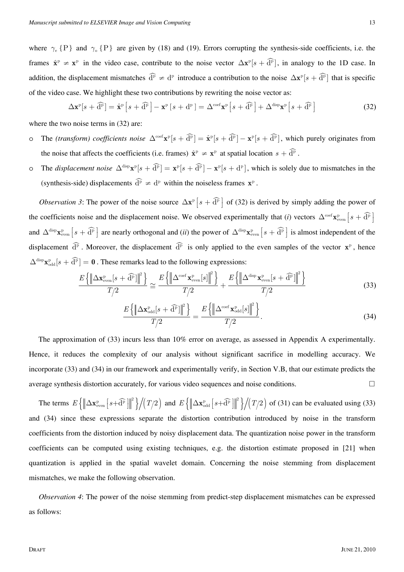where  $\gamma_e$  {P} and  $\gamma_o$  {P} are given by (18) and (19). Errors corrupting the synthesis-side coefficients, i.e. the frames  $\hat{\mathbf{x}}^{\text{p}} \neq \mathbf{x}^{\text{p}}$  in the video case, contribute to the noise vector  $\Delta \mathbf{x}^{\text{p}}[s + \hat{d}^{\text{p}}]$ , in analogy to the 1D case. In addition, the displacement mismatches  $\widehat{d}^p \neq d^p$  introduce a contribution to the noise  $\Delta \mathbf{x}^p[s + \widehat{d}^p]$  that is specific of the video case. We highlight these two contributions by rewriting the noise vector as:

$$
\Delta \mathbf{x}^{\mathrm{p}}[s + \widehat{\mathbf{d}}^{\mathrm{p}}] = \hat{\mathbf{x}}^{\mathrm{p}}[s + \widehat{\mathbf{d}}^{\mathrm{p}}] - \mathbf{x}^{\mathrm{p}}[s + \mathbf{d}^{\mathrm{p}}] = \Delta^{\mathrm{coef}} \mathbf{x}^{\mathrm{p}}[s + \widehat{\mathbf{d}}^{\mathrm{p}}] + \Delta^{\mathrm{disp}} \mathbf{x}^{\mathrm{p}}[s + \widehat{\mathbf{d}}^{\mathrm{p}}]
$$
(32)

where the two noise terms in  $(32)$  are:

- o The *(transform) coefficients noise*  $\Delta^{\text{coef}} \mathbf{x}^p[s + \widehat{d}^p] = \hat{\mathbf{x}}^p[s + \widehat{d}^p] \mathbf{x}^p[s + \widehat{d}^p]$ , which purely originates from the noise that affects the coefficients (i.e. frames)  $\hat{\mathbf{x}}^{\text{p}} \neq \mathbf{x}^{\text{p}}$  at spatial location  $s + \hat{\mathbf{d}}^{\text{p}}$ .
- o The *displacement noise*  $\Delta^{\text{disp}} \mathbf{x}^p [s + \hat{d}^p] = \mathbf{x}^p [s + \hat{d}^p] \mathbf{x}^p [s + d^p]$ , which is solely due to mismatches in the (synthesis-side) displacements  $\hat{d}^{\hat{p}} \neq d^p$  within the noiseless frames  $\mathbf{x}^{\hat{p}}$ .

*Observation 3*: The power of the noise source  $\Delta \mathbf{x}^p[s + \widehat{d}^p]$  of (32) is derived by simply adding the power of the coefficients noise and the displacement noise. We observed experimentally that (*i*) vectors  $\Delta^{\text{coef}} \mathbf{x}_{\text{even}}^{\text{p}}$   $s + \widehat{\mathbf{d}}^{\text{p}}$ and  $\Delta^{\text{disp}} \mathbf{x}_{\text{even}}^p$   $s + \widehat{d}^p$  are nearly orthogonal and (*ii*) the power of  $\Delta^{\text{disp}} \mathbf{x}_{\text{even}}^p$   $s + \widehat{d}^p$  is almost independent of the displacement  $\widehat{d}^{\widehat{p}}$ . Moreover, the displacement  $\widehat{d}^{\widehat{p}}$  is only applied to the even samples of the vector  $\mathbf{x}^{\widehat{p}}$ , hence  $\Delta^{\text{disp}} \mathbf{x}_{\text{odd}}^p[s + \widehat{\mathbf{d}}^p] = \mathbf{0}$ . These remarks lead to the following expressions:

$$
\frac{E\left\{\left\|\Delta\mathbf{x}_{\text{even}}^{\text{p}}[s+\widehat{\mathbf{d}}^{\text{p}}]\right\|^2\right\}}{T/2} \cong \frac{E\left\{\left\|\Delta^{\text{coef}}\mathbf{x}_{\text{even}}^{\text{p}}[s]\right\|^2\right\}}{T/2} + \frac{E\left\{\left\|\Delta^{\text{disp}}\mathbf{x}_{\text{even}}^{\text{p}}[s+\widehat{\mathbf{d}}^{\text{p}}]\right\|^2\right\}}{T/2}
$$
(33)

$$
\frac{E\left\{\left\|\Delta\mathbf{x}_{\text{odd}}^{\text{p}}[s+\widehat{\mathbf{d}}^{\text{p}}]\right\|^2\right\}}{T/2}=\frac{E\left\{\left\|\Delta^{\text{coef}}\mathbf{x}_{\text{odd}}^{\text{p}}[s]\right\|^2\right\}}{T/2}.
$$
\n(34)

 The approximation of (33) incurs less than 10% error on average, as assessed in Appendix A experimentally. Hence, it reduces the complexity of our analysis without significant sacrifice in modelling accuracy. We incorporate (33) and (34) in our framework and experimentally verify, in Section V.B, that our estimate predicts the average synthesis distortion accurately, for various video sequences and noise conditions.

The terms  $E\left\{\left\|\Delta \mathbf{x}_{\text{even}}^{\text{p}}\left[s+\widehat{\mathbf{d}}^{\text{p}}\right]\right\|^2\right\}/\left(T/2\right)$  and  $E\left\{\left\|\Delta \mathbf{x}_{\text{odd}}^{\text{p}}\left[s+\widehat{\mathbf{d}}^{\text{p}}\right]\right\|^2\right\}/\left(T/2\right)$  of (31) can be evaluated using (33) and (34) since these expressions separate the distortion contribution introduced by noise in the transform coefficients from the distortion induced by noisy displacement data. The quantization noise power in the transform coefficients can be computed using existing techniques, e.g. the distortion estimate proposed in [21] when quantization is applied in the spatial wavelet domain. Concerning the noise stemming from displacement mismatches, we make the following observation.

*Observation 4*: The power of the noise stemming from predict-step displacement mismatches can be expressed as follows: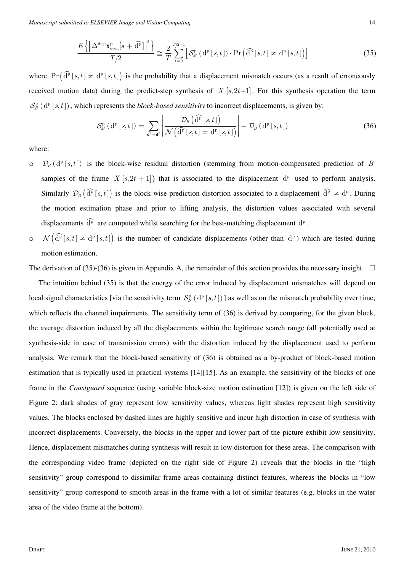$$
\frac{E\left\{\left\|\Delta^{\text{disp}}\mathbf{x}_{\text{even}}^{\text{p}}[s+\widehat{\mathbf{d}}^{\text{p}}]\right\|^2\right\}}{T/2} \cong \frac{2}{T} \sum_{t=0}^{T/2-1} \left[ \mathcal{S}_{\mathcal{B}}^{\text{p}}\left(\mathbf{d}^{\text{p}}\left[s,t\right]\right) \cdot \Pr\left(\widehat{\mathbf{d}}^{\text{p}}\left[s,t\right] \neq \mathbf{d}^{\text{p}}\left[s,t\right]\right) \right] \tag{35}
$$

where  $\Pr(\widehat{\mathrm{d}}^{\mathrm{p}}[s,t] \neq \mathrm{d}^{\mathrm{p}}[s,t])$  is the probability that a displacement mismatch occurs (as a result of erroneously received motion data) during the predict-step synthesis of  $X[s, 2t+1]$ . For this synthesis operation the term  $S_{\mathcal{B}}^{\mathbf{p}}(\mathrm{d}^{\mathbf{p}}[s,t])$ , which represents the *block-based sensitivity* to incorrect displacements, is given by:

$$
S_{\mathcal{B}}^{\mathbf{p}}(\mathbf{d}^{\mathbf{p}}[s,t]) = \sum_{\mathbf{d}^{\mathbf{p}} \neq \mathbf{d}^{\mathbf{p}}} \left[ \frac{\mathcal{D}_{B}\left(\widehat{\mathbf{d}}^{\mathbf{p}}[s,t]\right)}{\mathcal{N}\left(\widehat{\mathbf{d}}^{\mathbf{p}}[s,t] \neq \mathbf{d}^{\mathbf{p}}[s,t]\right)} \right] - \mathcal{D}_{B}\left(\mathbf{d}^{\mathbf{p}}[s,t]\right) \tag{36}
$$

where:

- $\mathcal{D}_B$   $(d^p[s,t])$  is the block-wise residual distortion (stemming from motion-compensated prediction of *B* samples of the frame *X* [ $s, 2t + 1$ ]) that is associated to the displacement  $d<sup>p</sup>$  used to perform analysis. Similarly  $\mathcal{D}_B\left(\widehat{\mathrm{d}}^{\mathrm{p}}[s,t]\right)$  is the block-wise prediction-distortion associated to a displacement  $\widehat{\mathrm{d}}^{\mathrm{p}} \neq \mathrm{d}^{\mathrm{p}}$ . During the motion estimation phase and prior to lifting analysis, the distortion values associated with several displacements  $\widehat{d}^p$  are computed whilst searching for the best-matching displacement  $d^p$ .
- o  $\mathcal{N}(\widehat{\mathrm{d}}^{\mathrm{p}}[s,t] \neq \mathrm{d}^{\mathrm{p}}[s,t]$  is the number of candidate displacements (other than  $\mathrm{d}^{\mathrm{p}}$ ) which are tested during motion estimation.

The derivation of (35)-(36) is given in Appendix A, the remainder of this section provides the necessary insight.  $\Box$ 

The intuition behind (35) is that the energy of the error induced by displacement mismatches will depend on local signal characteristics [via the sensitivity term  $S^p_B(d^p [s,t])$ ] as well as on the mismatch probability over time, which reflects the channel impairments. The sensitivity term of (36) is derived by comparing, for the given block, the average distortion induced by all the displacements within the legitimate search range (all potentially used at synthesis-side in case of transmission errors) with the distortion induced by the displacement used to perform analysis. We remark that the block-based sensitivity of (36) is obtained as a by-product of block-based motion estimation that is typically used in practical systems [14][15]. As an example, the sensitivity of the blocks of one frame in the *Coastguard* sequence (using variable block-size motion estimation [12]) is given on the left side of Figure 2: dark shades of gray represent low sensitivity values, whereas light shades represent high sensitivity values. The blocks enclosed by dashed lines are highly sensitive and incur high distortion in case of synthesis with incorrect displacements. Conversely, the blocks in the upper and lower part of the picture exhibit low sensitivity. Hence, displacement mismatches during synthesis will result in low distortion for these areas. The comparison with the corresponding video frame (depicted on the right side of Figure 2) reveals that the blocks in the "high sensitivity" group correspond to dissimilar frame areas containing distinct features, whereas the blocks in "low sensitivity" group correspond to smooth areas in the frame with a lot of similar features (e.g. blocks in the water area of the video frame at the bottom).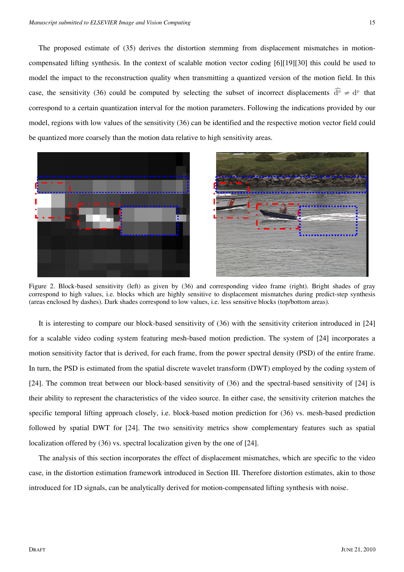The proposed estimate of (35) derives the distortion stemming from displacement mismatches in motioncompensated lifting synthesis. In the context of scalable motion vector coding [6][19][30] this could be used to model the impact to the reconstruction quality when transmitting a quantized version of the motion field. In this case, the sensitivity (36) could be computed by selecting the subset of incorrect displacements  $\hat{d}^{\bar{p}} \neq d^{\bar{p}}$  that correspond to a certain quantization interval for the motion parameters. Following the indications provided by our model, regions with low values of the sensitivity (36) can be identified and the respective motion vector field could be quantized more coarsely than the motion data relative to high sensitivity areas.





Figure 2. Block-based sensitivity (left) as given by (36) and corresponding video frame (right). Bright shades of gray correspond to high values, i.e. blocks which are highly sensitive to displacement mismatches during predict-step synthesis (areas enclosed by dashes). Dark shades correspond to low values, i.e. less sensitive blocks (top/bottom areas).

It is interesting to compare our block-based sensitivity of (36) with the sensitivity criterion introduced in [24] for a scalable video coding system featuring mesh-based motion prediction. The system of [24] incorporates a motion sensitivity factor that is derived, for each frame, from the power spectral density (PSD) of the entire frame. In turn, the PSD is estimated from the spatial discrete wavelet transform (DWT) employed by the coding system of [24]. The common treat between our block-based sensitivity of (36) and the spectral-based sensitivity of [24] is their ability to represent the characteristics of the video source. In either case, the sensitivity criterion matches the specific temporal lifting approach closely, i.e. block-based motion prediction for (36) vs. mesh-based prediction followed by spatial DWT for [24]. The two sensitivity metrics show complementary features such as spatial localization offered by (36) vs. spectral localization given by the one of [24].

The analysis of this section incorporates the effect of displacement mismatches, which are specific to the video case, in the distortion estimation framework introduced in Section III. Therefore distortion estimates, akin to those introduced for 1D signals, can be analytically derived for motion-compensated lifting synthesis with noise.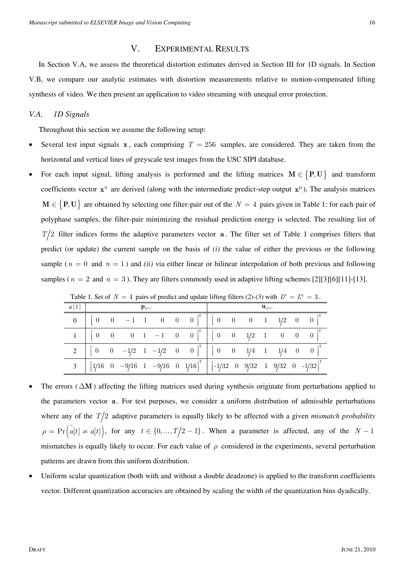## V. EXPERIMENTAL RESULTS

In Section V.A, we assess the theoretical distortion estimates derived in Section III for 1D signals. In Section V.B, we compare our analytic estimates with distortion measurements relative to motion-compensated lifting synthesis of video. We then present an application to video streaming with unequal error protection.

## *V.A. 1D Signals*

Throughout this section we assume the following setup:

- Several test input signals **x**, each comprising  $T = 256$  samples, are considered. They are taken from the horizontal and vertical lines of greyscale test images from the USC SIPI database.
- For each input signal, lifting analysis is performed and the lifting matrices  $M \in \{P, U\}$  and transform coefficients vector  $x^u$  are derived (along with the intermediate predict-step output  $x^p$ ). The analysis matrices  $M \in \{P, U\}$  are obtained by selecting one filter-pair out of the  $N = 4$  pairs given in Table 1: for each pair of polyphase samples, the filter-pair minimizing the residual prediction energy is selected. The resulting list of  $T/2$  filter indices forms the adaptive parameters vector **a**. The filter set of Table 1 comprises filters that predict (or update) the current sample on the basis of *(i)* the value of either the previous or the following sample ( $n = 0$  and  $n = 1$ ) and *(ii)* via either linear or bilinear interpolation of both previous and following samples ( $n = 2$  and  $n = 3$ ). They are filters commonly used in adaptive lifting schemes [2][3][6][11]-[13].

| a[t] | ${\bf p}_{a[t]}$ |  |  |  |                                                                                                                                   |  |  |  |                                                                                                                                                                         |
|------|------------------|--|--|--|-----------------------------------------------------------------------------------------------------------------------------------|--|--|--|-------------------------------------------------------------------------------------------------------------------------------------------------------------------------|
|      |                  |  |  |  | $\begin{bmatrix} 0 & 0 & -1 & 1 & 0 & 0 & 0 \end{bmatrix}^1 \begin{bmatrix} 0 & 0 & 0 & 1 & 1/2 & 0 & 0 \end{bmatrix}$            |  |  |  |                                                                                                                                                                         |
|      |                  |  |  |  | $\begin{bmatrix} 0 & 0 & 0 & 1 & -1 & 0 & 0 \end{bmatrix}^T$ $\begin{bmatrix} 0 & 0 & 1/2 & 1 & 0 & 0 & 0 \end{bmatrix}^T$        |  |  |  |                                                                                                                                                                         |
|      |                  |  |  |  | $2 \begin{bmatrix} 0 & 0 & -1/2 & 1 & -1/2 & 0 & 0 \end{bmatrix}^T \begin{bmatrix} 0 & 0 & 1/4 & 1 & 1/4 & 0 & 0 \end{bmatrix}^T$ |  |  |  |                                                                                                                                                                         |
|      |                  |  |  |  |                                                                                                                                   |  |  |  | $\overline{3}\left[\begin{array}{ccccccccc}1/16&0&-9/16&1&-9/16&0&1/16\end{array}\right]^T\left[\begin{array}{ccccccccc}1/32&0&9/32&1&9/32&0&-1/32\end{array}\right]^T$ |

Table 1. Set of  $N = 4$  pairs of predict and update lifting filters (2)-(3) with  $I^p = I^u = 3$ .

- The errors  $( \Delta M)$  affecting the lifting matrices used during synthesis originate from perturbations applied to the parameters vector **a** . For test purposes, we consider a uniform distribution of admissible perturbations where any of the  $T/2$  adaptive parameters is equally likely to be affected with a given *mismatch probability*  $\rho = \Pr\left(\hat{a}[t] \neq a[t]\right)$ , for any  $t \in \{0, ..., T/2 - 1\}$ . When a parameter is affected, any of the *N* − 1 mismatches is equally likely to occur. For each value of  $\rho$  considered in the experiments, several perturbation patterns are drawn from this uniform distribution.
- Uniform scalar quantization (both with and without a double deadzone) is applied to the transform coefficients vector. Different quantization accuracies are obtained by scaling the width of the quantization bins dyadically.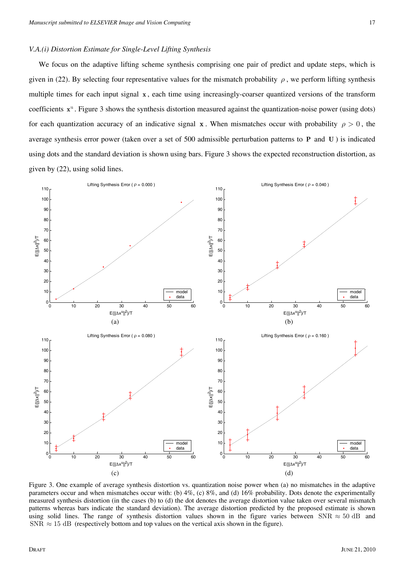#### *V.A.(i) Distortion Estimate for Single-Level Lifting Synthesis*

We focus on the adaptive lifting scheme synthesis comprising one pair of predict and update steps, which is given in (22). By selecting four representative values for the mismatch probability  $\rho$ , we perform lifting synthesis multiple times for each input signal **x**, each time using increasingly-coarser quantized versions of the transform coefficients x<sup>*u*</sup>. Figure 3 shows the synthesis distortion measured against the quantization-noise power (using dots) for each quantization accuracy of an indicative signal **x**. When mismatches occur with probability  $\rho > 0$ , the average synthesis error power (taken over a set of 500 admissible perturbation patterns to **P** and **U** ) is indicated using dots and the standard deviation is shown using bars. Figure 3 shows the expected reconstruction distortion, as given by (22), using solid lines.



Figure 3. One example of average synthesis distortion vs. quantization noise power when (a) no mismatches in the adaptive parameters occur and when mismatches occur with: (b) 4%, (c) 8%, and (d) 16% probability. Dots denote the experimentally measured synthesis distortion (in the cases (b) to (d) the dot denotes the average distortion value taken over several mismatch patterns whereas bars indicate the standard deviation). The average distortion predicted by the proposed estimate is shown using solid lines. The range of synthesis distortion values shown in the figure varies between SNR  $\approx 50$  dB and SNR  $\approx$  15 dB (respectively bottom and top values on the vertical axis shown in the figure).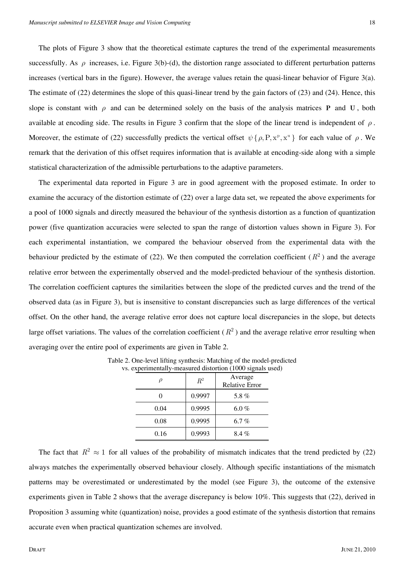The plots of Figure 3 show that the theoretical estimate captures the trend of the experimental measurements successfully. As  $\rho$  increases, i.e. Figure 3(b)-(d), the distortion range associated to different perturbation patterns increases (vertical bars in the figure). However, the average values retain the quasi-linear behavior of Figure 3(a). The estimate of (22) determines the slope of this quasi-linear trend by the gain factors of (23) and (24). Hence, this slope is constant with  $\rho$  and can be determined solely on the basis of the analysis matrices **P** and **U**, both available at encoding side. The results in Figure 3 confirm that the slope of the linear trend is independent of *ρ* . Moreover, the estimate of (22) successfully predicts the vertical offset  $\psi \{ \rho, P, x^p, x^u \}$  for each value of  $\rho$ . We remark that the derivation of this offset requires information that is available at encoding-side along with a simple statistical characterization of the admissible perturbations to the adaptive parameters.

The experimental data reported in Figure 3 are in good agreement with the proposed estimate. In order to examine the accuracy of the distortion estimate of (22) over a large data set, we repeated the above experiments for a pool of 1000 signals and directly measured the behaviour of the synthesis distortion as a function of quantization power (five quantization accuracies were selected to span the range of distortion values shown in Figure 3). For each experimental instantiation, we compared the behaviour observed from the experimental data with the behaviour predicted by the estimate of (22). We then computed the correlation coefficient ( $R<sup>2</sup>$ ) and the average relative error between the experimentally observed and the model-predicted behaviour of the synthesis distortion. The correlation coefficient captures the similarities between the slope of the predicted curves and the trend of the observed data (as in Figure 3), but is insensitive to constant discrepancies such as large differences of the vertical offset. On the other hand, the average relative error does not capture local discrepancies in the slope, but detects large offset variations. The values of the correlation coefficient  $(R^2)$  and the average relative error resulting when averaging over the entire pool of experiments are given in Table 2.

|      | $\,R^2$ | Average<br><b>Relative Error</b> |
|------|---------|----------------------------------|
|      | 0.9997  | 5.8%                             |
| 0.04 | 0.9995  | 6.0 %                            |
| 0.08 | 0.9995  | 6.7%                             |
| 0.16 | 0.9993  | $8.4\%$                          |

Table 2. One-level lifting synthesis: Matching of the model-predicted vs. experimentally-measured distortion (1000 signals used)

The fact that  $R^2 \approx 1$  for all values of the probability of mismatch indicates that the trend predicted by (22) always matches the experimentally observed behaviour closely. Although specific instantiations of the mismatch patterns may be overestimated or underestimated by the model (see Figure 3), the outcome of the extensive experiments given in Table 2 shows that the average discrepancy is below 10%. This suggests that (22), derived in Proposition 3 assuming white (quantization) noise, provides a good estimate of the synthesis distortion that remains accurate even when practical quantization schemes are involved.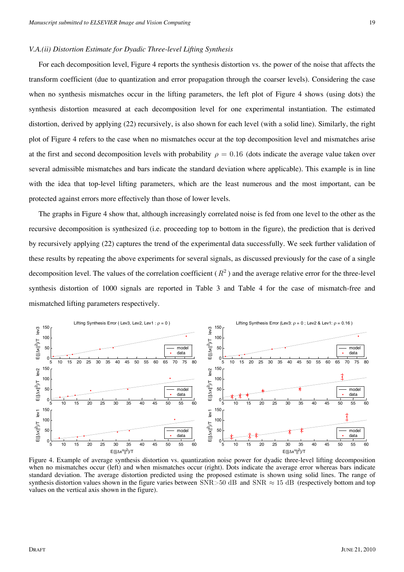#### *V.A.(ii) Distortion Estimate for Dyadic Three-level Lifting Synthesis*

For each decomposition level, Figure 4 reports the synthesis distortion vs. the power of the noise that affects the transform coefficient (due to quantization and error propagation through the coarser levels). Considering the case when no synthesis mismatches occur in the lifting parameters, the left plot of Figure 4 shows (using dots) the synthesis distortion measured at each decomposition level for one experimental instantiation. The estimated distortion, derived by applying (22) recursively, is also shown for each level (with a solid line). Similarly, the right plot of Figure 4 refers to the case when no mismatches occur at the top decomposition level and mismatches arise at the first and second decomposition levels with probability  $\rho = 0.16$  (dots indicate the average value taken over several admissible mismatches and bars indicate the standard deviation where applicable). This example is in line with the idea that top-level lifting parameters, which are the least numerous and the most important, can be protected against errors more effectively than those of lower levels.

The graphs in Figure 4 show that, although increasingly correlated noise is fed from one level to the other as the recursive decomposition is synthesized (i.e. proceeding top to bottom in the figure), the prediction that is derived by recursively applying (22) captures the trend of the experimental data successfully. We seek further validation of these results by repeating the above experiments for several signals, as discussed previously for the case of a single decomposition level. The values of the correlation coefficient  $(R^2)$  and the average relative error for the three-level synthesis distortion of 1000 signals are reported in Table 3 and Table 4 for the case of mismatch-free and mismatched lifting parameters respectively.



Figure 4. Example of average synthesis distortion vs. quantization noise power for dyadic three-level lifting decomposition when no mismatches occur (left) and when mismatches occur (right). Dots indicate the average error whereas bars indicate standard deviation. The average distortion predicted using the proposed estimate is shown using solid lines. The range of synthesis distortion values shown in the figure varies between  $\text{SNR} > 50 \text{ dB}$  and  $\text{SNR} \approx 15 \text{ dB}$  (respectively bottom and top values on the vertical axis shown in the figure).

19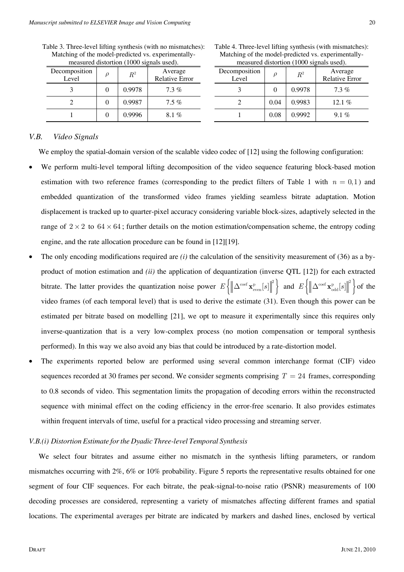| Decomposition<br>Level | ρ | $\,R^2$ | Average<br><b>Relative Error</b> |
|------------------------|---|---------|----------------------------------|
|                        |   | 0.9978  | $7.3\%$                          |
|                        |   | 0.9987  | $7.5\%$                          |
|                        |   | 0.9996  | $8.1\%$                          |

Table 3. Three-level lifting synthesis (with no mismatches): Matching of the model-predicted vs. experimentallymeasured distortion (1000 signals used).

| Table 4. Three-level lifting synthesis (with mismatches): |
|-----------------------------------------------------------|
| Matching of the model-predicted vs. experimentally-       |
| measured distortion (1000 signals used).                  |

| $11000$ and $0.1000$ $1000$ $1.000$ and $0.000$ . |      |         |                                  |  |  |  |  |  |
|---------------------------------------------------|------|---------|----------------------------------|--|--|--|--|--|
| Decomposition<br>Level                            |      | $\,R^2$ | Average<br><b>Relative Error</b> |  |  |  |  |  |
|                                                   |      | 0.9978  | $7.3\%$                          |  |  |  |  |  |
|                                                   | 0.04 | 0.9983  | 12.1 $%$                         |  |  |  |  |  |
|                                                   | 0.08 | 0.9992  | $9.1\%$                          |  |  |  |  |  |

## *V.B. Video Signals*

We employ the spatial-domain version of the scalable video codec of [12] using the following configuration:

- We perform multi-level temporal lifting decomposition of the video sequence featuring block-based motion estimation with two reference frames (corresponding to the predict filters of Table 1 with  $n = 0.1$ ) and embedded quantization of the transformed video frames yielding seamless bitrate adaptation. Motion displacement is tracked up to quarter-pixel accuracy considering variable block-sizes, adaptively selected in the range of  $2 \times 2$  to  $64 \times 64$ ; further details on the motion estimation/compensation scheme, the entropy coding engine, and the rate allocation procedure can be found in [12][19].
- The only encoding modifications required are *(i)* the calculation of the sensitivity measurement of (36) as a byproduct of motion estimation and *(ii)* the application of dequantization (inverse QTL [12]) for each extracted bitrate. The latter provides the quantization noise power  $E\left\{\left\|\Delta^{\text{coef}}\mathbf{x}_{\text{even}}^p[s]\right\|^2\right\}$  and  $E\left\{\left\|\Delta^{\text{coef}}\mathbf{x}_{\text{odd}}^p[s]\right\|^2\right\}$  of the video frames (of each temporal level) that is used to derive the estimate (31). Even though this power can be estimated per bitrate based on modelling [21], we opt to measure it experimentally since this requires only inverse-quantization that is a very low-complex process (no motion compensation or temporal synthesis performed). In this way we also avoid any bias that could be introduced by a rate-distortion model.
- The experiments reported below are performed using several common interchange format (CIF) video sequences recorded at 30 frames per second. We consider segments comprising  $T = 24$  frames, corresponding to 0.8 seconds of video. This segmentation limits the propagation of decoding errors within the reconstructed sequence with minimal effect on the coding efficiency in the error-free scenario. It also provides estimates within frequent intervals of time, useful for a practical video processing and streaming server.

#### *V.B.(i) Distortion Estimate forthe Dyadic Three-level Temporal Synthesis*

We select four bitrates and assume either no mismatch in the synthesis lifting parameters, or random mismatches occurring with 2%, 6% or 10% probability. Figure 5 reports the representative results obtained for one segment of four CIF sequences. For each bitrate, the peak-signal-to-noise ratio (PSNR) measurements of 100 decoding processes are considered, representing a variety of mismatches affecting different frames and spatial locations. The experimental averages per bitrate are indicated by markers and dashed lines, enclosed by vertical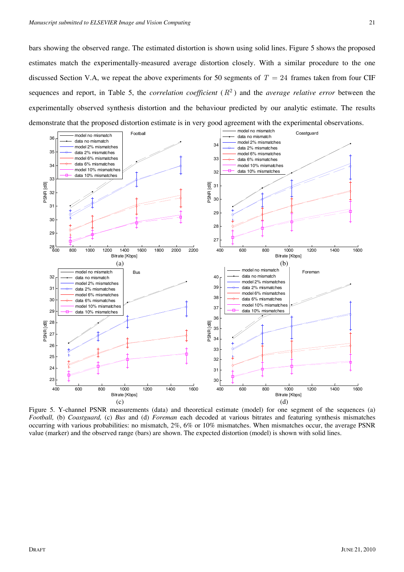21

bars showing the observed range. The estimated distortion is shown using solid lines. Figure 5 shows the proposed estimates match the experimentally-measured average distortion closely. With a similar procedure to the one discussed Section V.A, we repeat the above experiments for 50 segments of  $T = 24$  frames taken from four CIF sequences and report, in Table 5, the *correlation coefficient*  $(R^2)$  and the *average relative error* between the experimentally observed synthesis distortion and the behaviour predicted by our analytic estimate. The results demonstrate that the proposed distortion estimate is in very good agreement with the experimental observations.



Figure 5. Y-channel PSNR measurements (data) and theoretical estimate (model) for one segment of the sequences (a) *Football,* (b) *Coastguard,* (c) *Bus* and (d) *Foreman* each decoded at various bitrates and featuring synthesis mismatches occurring with various probabilities: no mismatch, 2%, 6% or 10% mismatches. When mismatches occur, the average PSNR value (marker) and the observed range (bars) are shown. The expected distortion (model) is shown with solid lines.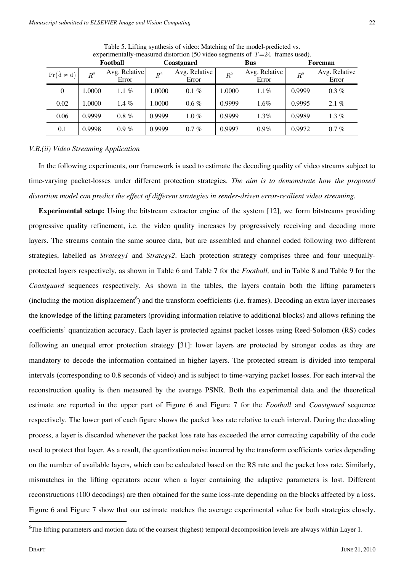|                      | Football |                        | Coastguard |                        | <b>Bus</b>     |                        | Foreman     |                        |
|----------------------|----------|------------------------|------------|------------------------|----------------|------------------------|-------------|------------------------|
| $Pr(\hat{d} \neq d)$ | $R^2$    | Avg. Relative<br>Error | $R^2$      | Avg. Relative<br>Error | $\mathbb{R}^2$ | Avg. Relative<br>Error | $\bar{R}^2$ | Avg. Relative<br>Error |
| 0                    | 1.0000   | $1.1\%$                | 1.0000     | $0.1\%$                | 1.0000         | $1.1\%$                | 0.9999      | $0.3\%$                |
| 0.02                 | 1.0000   | 1.4 $%$                | 1.0000     | $0.6\%$                | 0.9999         | $1.6\%$                | 0.9995      | $2.1\%$                |
| 0.06                 | 0.9999   | $0.8 \%$               | 0.9999     | $1.0 \%$               | 0.9999         | $1.3\%$                | 0.9989      | 1.3 $%$                |
| 0.1                  | 0.9998   | $0.9\%$                | 0.9999     | $0.7\%$                | 0.9997         | $0.9\%$                | 0.9972      | $0.7\%$                |

Table 5. Lifting synthesis of video: Matching of the model-predicted vs. experimentally-measured distortion (50 video segments of  $T=24$  frames used).

*V.B.(ii) Video Streaming Application* 

In the following experiments, our framework is used to estimate the decoding quality of video streams subject to time-varying packet-losses under different protection strategies. *The aim is to demonstrate how the proposed distortion model can predict the effect of different strategies in sender-driven error-resilient video streaming*.

**Experimental setup:** Using the bitstream extractor engine of the system [12], we form bitstreams providing progressive quality refinement, i.e. the video quality increases by progressively receiving and decoding more layers. The streams contain the same source data, but are assembled and channel coded following two different strategies, labelled as *Strategy1* and *Strategy2*. Each protection strategy comprises three and four unequallyprotected layers respectively, as shown in Table 6 and Table 7 for the *Football,* and in Table 8 and Table 9 for the *Coastguard* sequences respectively. As shown in the tables, the layers contain both the lifting parameters  $(including the motion displacement<sup>6</sup>)$  and the transform coefficients (i.e. frames). Decoding an extra layer increases the knowledge of the lifting parameters (providing information relative to additional blocks) and allows refining the coefficients' quantization accuracy. Each layer is protected against packet losses using Reed-Solomon (RS) codes following an unequal error protection strategy [31]: lower layers are protected by stronger codes as they are mandatory to decode the information contained in higher layers. The protected stream is divided into temporal intervals (corresponding to 0.8 seconds of video) and is subject to time-varying packet losses. For each interval the reconstruction quality is then measured by the average PSNR. Both the experimental data and the theoretical estimate are reported in the upper part of Figure 6 and Figure 7 for the *Football* and *Coastguard* sequence respectively. The lower part of each figure shows the packet loss rate relative to each interval. During the decoding process, a layer is discarded whenever the packet loss rate has exceeded the error correcting capability of the code used to protect that layer. As a result, the quantization noise incurred by the transform coefficients varies depending on the number of available layers, which can be calculated based on the RS rate and the packet loss rate. Similarly, mismatches in the lifting operators occur when a layer containing the adaptive parameters is lost. Different reconstructions (100 decodings) are then obtained for the same loss-rate depending on the blocks affected by a loss. Figure 6 and Figure 7 show that our estimate matches the average experimental value for both strategies closely.

<sup>&</sup>lt;sup>6</sup>The lifting parameters and motion data of the coarsest (highest) temporal decomposition levels are always within Layer 1.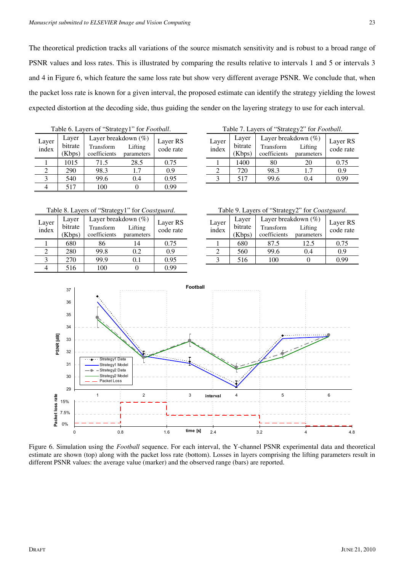The theoretical prediction tracks all variations of the source mismatch sensitivity and is robust to a broad range of PSNR values and loss rates. This is illustrated by comparing the results relative to intervals 1 and 5 or intervals 3 and 4 in Figure 6, which feature the same loss rate but show very different average PSNR. We conclude that, when the packet loss rate is known for a given interval, the proposed estimate can identify the strategy yielding the lowest expected distortion at the decoding side, thus guiding the sender on the layering strategy to use for each interval.

|                | Table 6. Layers of "Strategy1" for Football. |                                                  |                       |      |  |  |  |  |
|----------------|----------------------------------------------|--------------------------------------------------|-----------------------|------|--|--|--|--|
| Layer<br>index | Layer<br>bitrate<br>(Kbps)                   | Layer breakdown (%)<br>Transform<br>coefficients | Layer RS<br>code rate |      |  |  |  |  |
|                | 1015                                         | 71.5                                             | 28.5                  | 0.75 |  |  |  |  |
|                | 290                                          | 98.3                                             | 1.7                   | 0.9  |  |  |  |  |
| 3              | 540                                          | 99.6                                             | 0.4                   | 0.95 |  |  |  |  |
|                | 517                                          | 100                                              |                       | 0.99 |  |  |  |  |

Table 7. Layers of "Strategy2" for *Football*.

| Layer<br>index | Layer<br>bitrate<br>(Kbps) | Layer breakdown (%)<br>Transform<br>coefficients | Lifting<br>parameters | Layer RS<br>code rate |
|----------------|----------------------------|--------------------------------------------------|-----------------------|-----------------------|
|                | 1400                       | 80                                               | 20                    | 0.75                  |
|                | 720                        | 98.3                                             | 1.7                   | 0.9                   |
|                | 517                        | 99.6                                             | 14                    | ) 99                  |

Table 8. Layers of "Strategy1" for *Coastguard*.

| Layer<br>index | Layer<br>bitrate<br>(Kbps) | Layer breakdown (%)<br>Transform<br>coefficients | Lifting<br>parameters | Layer RS<br>code rate |
|----------------|----------------------------|--------------------------------------------------|-----------------------|-----------------------|
|                | 680                        | 86                                               | 14                    | 0.75                  |
|                | 280                        | 99.8                                             | 0.2                   | 0.9                   |
|                | 270                        | 99.9                                             | $\rm 0.1$             | 0.95                  |
|                | 516                        | 100                                              |                       | 0.99                  |

Table 9. Layers of "Strategy2" for *Coastguard*.

| Layer<br>index | Layer<br>bitrate | Layer breakdown (%)<br>Transform | Layer RS<br>code rate |      |  |  |  |
|----------------|------------------|----------------------------------|-----------------------|------|--|--|--|
|                | Kbps)            | coefficients                     | parameters            |      |  |  |  |
|                | 680              | 87.5                             | 12.5                  | 0.75 |  |  |  |
|                | 560              | 99.6                             | 0.4                   | 0.9  |  |  |  |
|                | 516              | 100                              |                       | N 99 |  |  |  |



Figure 6. Simulation using the *Football* sequence. For each interval, the Y-channel PSNR experimental data and theoretical estimate are shown (top) along with the packet loss rate (bottom). Losses in layers comprising the lifting parameters result in different PSNR values: the average value (marker) and the observed range (bars) are reported.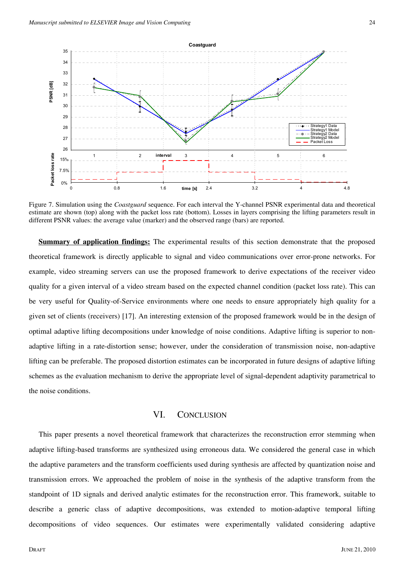

Figure 7. Simulation using the *Coastguard* sequence. For each interval the Y-channel PSNR experimental data and theoretical estimate are shown (top) along with the packet loss rate (bottom). Losses in layers comprising the lifting parameters result in different PSNR values: the average value (marker) and the observed range (bars) are reported.

**Summary of application findings:** The experimental results of this section demonstrate that the proposed theoretical framework is directly applicable to signal and video communications over error-prone networks. For example, video streaming servers can use the proposed framework to derive expectations of the receiver video quality for a given interval of a video stream based on the expected channel condition (packet loss rate). This can be very useful for Quality-of-Service environments where one needs to ensure appropriately high quality for a given set of clients (receivers) [17]. An interesting extension of the proposed framework would be in the design of optimal adaptive lifting decompositions under knowledge of noise conditions. Adaptive lifting is superior to nonadaptive lifting in a rate-distortion sense; however, under the consideration of transmission noise, non-adaptive lifting can be preferable. The proposed distortion estimates can be incorporated in future designs of adaptive lifting schemes as the evaluation mechanism to derive the appropriate level of signal-dependent adaptivity parametrical to the noise conditions.

## VI. CONCLUSION

This paper presents a novel theoretical framework that characterizes the reconstruction error stemming when adaptive lifting-based transforms are synthesized using erroneous data. We considered the general case in which the adaptive parameters and the transform coefficients used during synthesis are affected by quantization noise and transmission errors. We approached the problem of noise in the synthesis of the adaptive transform from the standpoint of 1D signals and derived analytic estimates for the reconstruction error. This framework, suitable to describe a generic class of adaptive decompositions, was extended to motion-adaptive temporal lifting decompositions of video sequences. Our estimates were experimentally validated considering adaptive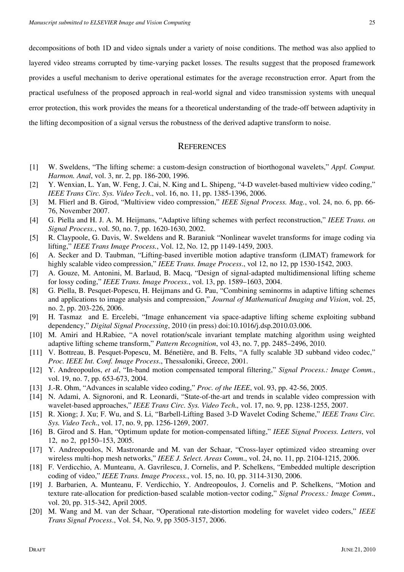decompositions of both 1D and video signals under a variety of noise conditions. The method was also applied to layered video streams corrupted by time-varying packet losses. The results suggest that the proposed framework provides a useful mechanism to derive operational estimates for the average reconstruction error. Apart from the practical usefulness of the proposed approach in real-world signal and video transmission systems with unequal error protection, this work provides the means for a theoretical understanding of the trade-off between adaptivity in the lifting decomposition of a signal versus the robustness of the derived adaptive transform to noise.

## **REFERENCES**

- [1] W. Sweldens, "The lifting scheme: a custom-design construction of biorthogonal wavelets," *Appl. Comput. Harmon. Anal*, vol. 3, nr. 2, pp. 186-200, 1996.
- [2] Y. Wenxian, L. Yan, W. Feng, J. Cai, N. King and L. Shipeng, "4-D wavelet-based multiview video coding," *IEEE Trans Circ. Sys. Video Tech*., vol. 16, no. 11, pp. 1385-1396, 2006.
- [3] M. Flierl and B. Girod, "Multiview video compression," *IEEE Signal Process. Mag.*, vol. 24, no. 6, pp. 66- 76, November 2007.
- [4] G. Piella and H. J. A. M. Heijmans, "Adaptive lifting schemes with perfect reconstruction," *IEEE Trans. on Signal Process.*, vol. 50, no. 7, pp. 1620-1630, 2002.
- [5] R. Claypoole, G. Davis, W. Sweldens and R. Baraniuk "Nonlinear wavelet transforms for image coding via lifting," *IEEE Trans Image Process.*, Vol. 12, No. 12, pp 1149-1459, 2003.
- [6] A. Secker and D. Taubman, "Lifting-based invertible motion adaptive transform (LIMAT) framework for highly scalable video compression," *IEEE Trans. Image Process*., vol 12, no 12, pp 1530-1542, 2003.
- [7] A. Gouze, M. Antonini, M. Barlaud, B. Macq, "Design of signal-adapted multidimensional lifting scheme for lossy coding," *IEEE Trans. Image Process.*, vol. 13, pp. 1589–1603, 2004.
- [8] G. Piella, B. Pesquet-Popescu, H. Heijmans and G. Pau, "Combining seminorms in adaptive lifting schemes and applications to image analysis and compression," *Journal of Mathematical Imaging and Vision*, vol. 25, no. 2, pp. 203-226, 2006.
- [9] H. Tasmaz and E. Ercelebi, "Image enhancement via space-adaptive lifting scheme exploiting subband dependency," *Digital Signal Processing*, 2010 (in press) doi:10.1016/j.dsp.2010.03.006.
- [10] M. Amiri and H.Rabiee, "A novel rotation/scale invariant template matching algorithm using weighted adaptive lifting scheme transform," *Pattern Recognition*, vol 43, no. 7, pp. 2485–2496, 2010.
- [11] V. Bottreau, B. Pesquet-Popescu, M. Bénetière, and B. Felts, "A fully scalable 3D subband video codec," *Proc. IEEE Int. Conf. Image Process*., Thessaloniki, Greece, 2001.
- [12] Y. Andreopoulos, *et al*, "In-band motion compensated temporal filtering," *Signal Process.: Image Comm.*, vol. 19, no. 7, pp. 653-673, 2004.
- [13] J.-R. Ohm, "Advances in scalable video coding," *Proc. of the IEEE*, vol. 93, pp. 42-56, 2005.
- [14] N. Adami, A. Signoroni, and R. Leonardi, "State-of-the-art and trends in scalable video compression with wavelet-based approaches," *IEEE Trans Circ. Sys. Video Tech.,* vol. 17, no. 9, pp. 1238-1255, 2007.
- [15] R. Xiong; J. Xu; F. Wu, and S. Li, "Barbell-Lifting Based 3-D Wavelet Coding Scheme," *IEEE Trans Circ. Sys. Video Tech*., vol. 17, no. 9, pp. 1256-1269, 2007.
- [16] B. Girod and S. Han, "Optimum update for motion-compensated lifting," *IEEE Signal Process. Letters*, vol 12, no 2, pp150–153, 2005.
- [17] Y. Andreopoulos, N. Mastronarde and M. van der Schaar, "Cross-layer optimized video streaming over wireless multi-hop mesh networks," *IEEE J. Select. Areas Comm*., vol. 24, no. 11, pp. 2104-1215, 2006.
- [18] F. Verdicchio, A. Munteanu, A. Gavrilescu, J. Cornelis, and P. Schelkens, "Embedded multiple description coding of video," *IEEE Trans. Image Process.*, vol. 15, no. 10, pp. 3114-3130, 2006.
- [19] J. Barbarien, A. Munteanu, F. Verdicchio, Y. Andreopoulos, J. Cornelis and P. Schelkens, "Motion and texture rate-allocation for prediction-based scalable motion-vector coding," *Signal Process.: Image Comm*., vol. 20, pp. 315-342, April 2005.
- [20] M. Wang and M. van der Schaar, "Operational rate-distortion modeling for wavelet video coders," *IEEE Trans Signal Process*., Vol. 54, No. 9, pp 3505-3157, 2006.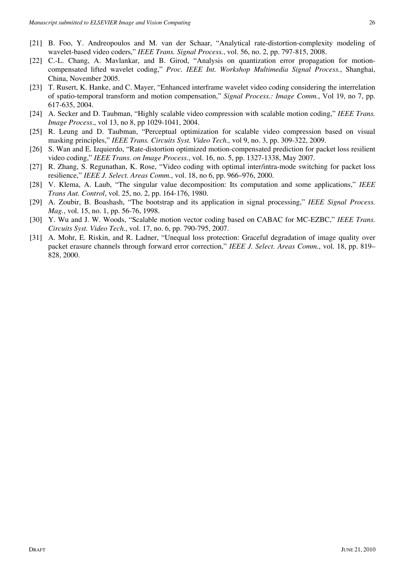- [21] B. Foo, Y. Andreopoulos and M. van der Schaar, "Analytical rate-distortion-complexity modeling of wavelet-based video coders," *IEEE Trans. Signal Process.*, vol. 56, no. 2, pp. 797-815, 2008.
- [22] C.-L. Chang, A. Mavlankar, and B. Girod, "Analysis on quantization error propagation for motioncompensated lifted wavelet coding," *Proc. IEEE Int. Workshop Multimedia Signal Process.*, Shanghai, China, November 2005.
- [23] T. Rusert, K. Hanke, and C. Mayer, "Enhanced interframe wavelet video coding considering the interrelation of spatio-temporal transform and motion compensation," *Signal Process.: Image Comm.*, Vol 19, no 7, pp. 617-635, 2004.
- [24] A. Secker and D. Taubman, "Highly scalable video compression with scalable motion coding," *IEEE Trans. Image Process*., vol 13, no 8, pp 1029-1041, 2004.
- [25] R. Leung and D. Taubman, "Perceptual optimization for scalable video compression based on visual masking principles," *IEEE Trans. Circuits Syst. Video Tech.,* vol 9, no. 3, pp. 309-322, 2009.
- [26] S. Wan and E. Izquierdo, "Rate-distortion optimized motion-compensated prediction for packet loss resilient video coding," *IEEE Trans. on Image Process.*, vol. 16, no. 5, pp. 1327-1338, May 2007.
- [27] R. Zhang, S. Regunathan, K. Rose, "Video coding with optimal inter/intra-mode switching for packet loss resilience," *IEEE J. Select. Areas Comm.*, vol. 18, no 6, pp. 966–976, 2000.
- [28] V. Klema, A. Laub, "The singular value decomposition: Its computation and some applications," *IEEE Trans Aut. Control*, vol. 25, no. 2, pp. 164-176, 1980.
- [29] A. Zoubir, B. Boashash, "The bootstrap and its application in signal processing," *IEEE Signal Process. Mag.*, vol. 15, no. 1, pp. 56-76, 1998.
- [30] Y. Wu and J. W. Woods, "Scalable motion vector coding based on CABAC for MC-EZBC," *IEEE Trans. Circuits Syst. Video Tech.*, vol. 17, no. 6, pp. 790-795, 2007.
- [31] A. Mohr, E. Riskin, and R. Ladner, "Unequal loss protection: Graceful degradation of image quality over packet erasure channels through forward error correction," *IEEE J. Select. Areas Comm.*, vol. 18, pp. 819– 828, 2000.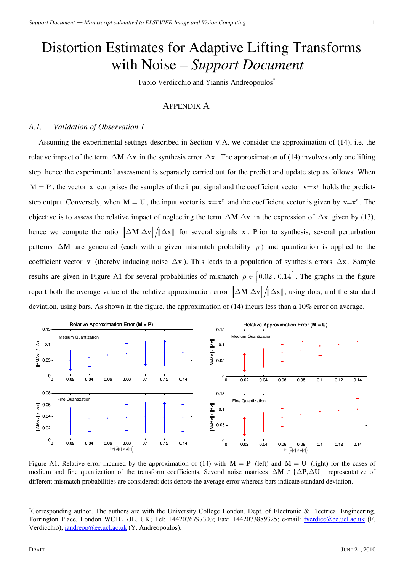# Distortion Estimates for Adaptive Lifting Transforms with Noise – *Support Document*

Fabio Verdicchio and Yiannis Andreopoulos<sup>\*</sup>

## APPENDIX A

## *A.1. Validation of Observation 1*

Assuming the experimental settings described in Section V.A, we consider the approximation of (14), i.e. the relative impact of the term  $\Delta M \Delta v$  in the synthesis error  $\Delta x$ . The approximation of (14) involves only one lifting step, hence the experimental assessment is separately carried out for the predict and update step as follows. When  $M = P$ , the vector **x** comprises the samples of the input signal and the coefficient vector  $v = x^p$  holds the predictstep output. Conversely, when  $M = U$ , the input vector is  $x = x^p$  and the coefficient vector is given by  $v = x^u$ . The objective is to assess the relative impact of neglecting the term  $\Delta M \Delta v$  in the expression of  $\Delta x$  given by (13), hence we compute the ratio  $\|\Delta M \Delta v\| / \|\Delta x\|$  for several signals **x**. Prior to synthesis, several perturbation patterns  $\Delta M$  are generated (each with a given mismatch probability  $\rho$ ) and quantization is applied to the coefficient vector **v** (thereby inducing noise ∆**v** ). This leads to a population of synthesis errors ∆**x** . Sample results are given in Figure A1 for several probabilities of mismatch  $\rho \in [0.02, 0.14]$ . The graphs in the figure report both the average value of the relative approximation error  $\|\Delta M \Delta v\|/\|\Delta x\|$ , using dots, and the standard deviation, using bars. As shown in the figure, the approximation of (14) incurs less than a 10% error on average.



Figure A1. Relative error incurred by the approximation of (14) with  $M = P$  (left) and  $M = U$  (right) for the cases of medium and fine quantization of the transform coefficients. Several noise matrices  $\Delta M \in \{ \Delta P, \Delta U \}$  representative of different mismatch probabilities are considered: dots denote the average error whereas bars indicate standard deviation.

1

<sup>\*</sup> Corresponding author. The authors are with the University College London, Dept. of Electronic & Electrical Engineering, Torrington Place, London WC1E 7JE, UK; Tel: +442076797303; Fax: +442073889325; e-mail: fverdicc@ee.ucl.ac.uk (F. Verdicchio), iandreop@ee.ucl.ac.uk (Y. Andreopoulos).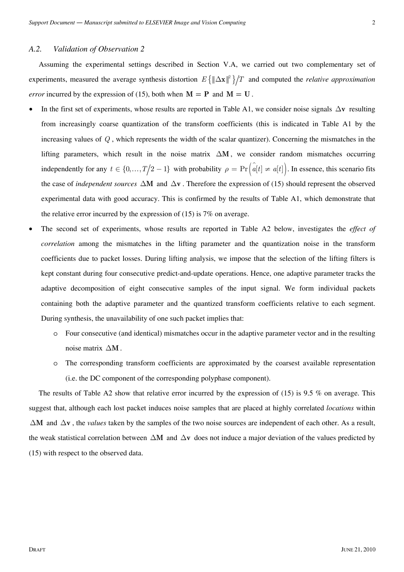Assuming the experimental settings described in Section V.A, we carried out two complementary set of experiments, measured the average synthesis distortion  $E\{\|\Delta \mathbf{x}\|^2\}/T$  and computed the *relative approximation error* incurred by the expression of (15), both when  $M = P$  and  $M = U$ .

- In the first set of experiments, whose results are reported in Table A1, we consider noise signals ∆**v** resulting from increasingly coarse quantization of the transform coefficients (this is indicated in Table A1 by the increasing values of *Q* , which represents the width of the scalar quantizer). Concerning the mismatches in the lifting parameters, which result in the noise matrix ∆**M** , we consider random mismatches occurring independently for any  $t \in \{0, ..., T/2 - 1\}$  with probability  $\rho = \Pr\left(\hat{a}[t] \neq a[t]\right)$ . In essence, this scenario fits the case of *independent sources* ∆**M** and ∆**v** . Therefore the expression of (15) should represent the observed experimental data with good accuracy. This is confirmed by the results of Table A1, which demonstrate that the relative error incurred by the expression of (15) is 7% on average.
- The second set of experiments, whose results are reported in Table A2 below, investigates the *effect of correlation* among the mismatches in the lifting parameter and the quantization noise in the transform coefficients due to packet losses. During lifting analysis, we impose that the selection of the lifting filters is kept constant during four consecutive predict-and-update operations. Hence, one adaptive parameter tracks the adaptive decomposition of eight consecutive samples of the input signal. We form individual packets containing both the adaptive parameter and the quantized transform coefficients relative to each segment. During synthesis, the unavailability of one such packet implies that:
	- o Four consecutive (and identical) mismatches occur in the adaptive parameter vector and in the resulting noise matrix ∆**M** .
	- o The corresponding transform coefficients are approximated by the coarsest available representation (i.e. the DC component of the corresponding polyphase component).

The results of Table A2 show that relative error incurred by the expression of  $(15)$  is 9.5 % on average. This suggest that, although each lost packet induces noise samples that are placed at highly correlated *locations* within ∆**M** and ∆**v** , the *values* taken by the samples of the two noise sources are independent of each other. As a result, the weak statistical correlation between ∆**M** and ∆**v** does not induce a major deviation of the values predicted by (15) with respect to the observed data.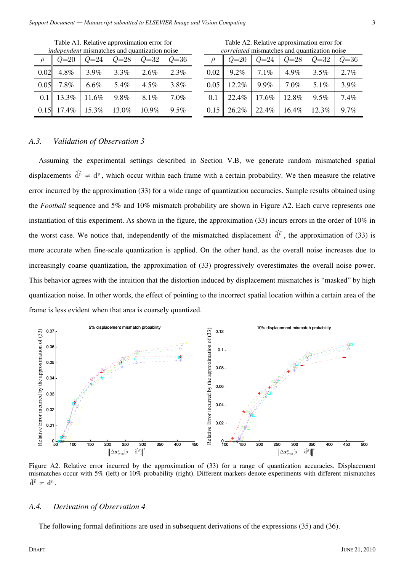|      | <i>lhacpenaeni</i> mismatenes and quantization hoise |          |          |          |      |  |  |  |
|------|------------------------------------------------------|----------|----------|----------|------|--|--|--|
|      | $Q=20$                                               | $Q = 24$ | $Q = 28$ | $Q = 32$ | Q=36 |  |  |  |
| 0.02 | 4.8%                                                 | 3.9%     | 3.3%     | 2.6%     | 2.3% |  |  |  |
| 0.05 | 7.8%                                                 | $6.6\%$  | 5.4%     | $4.5\%$  | 3.8% |  |  |  |
| 0.1  | 13.3%                                                | 11.6%    | 9.8%     | 8.1%     | 7.0% |  |  |  |
| 0.15 | 17.4%                                                | 15.3%    | 13.0%    | 10.9%    | 9.5% |  |  |  |

Table A1. Relative approximation error for *independent* mismatches and quantization noise

Table A2. Relative approximation error for *correlated* mismatches and quantization noise

|      | $Q=20$ | $Q = 24$ | $Q = 28$ | $Q = 32$ | $Q = 36$ |
|------|--------|----------|----------|----------|----------|
| 0.02 | 9.2%   | 7.1%     | 4.9%     | 3.5%     | 2.7%     |
| 0.05 | 12.2%  | 9.9%     | 7.0%     | 5.1%     | 3.9%     |
| 0.1  | 22.4%  | 17.6%    | 12.8%    | 9.5%     | 7.4%     |
| 0.15 | 26.2%  | 22.4%    | 16.4%    | 12.3%    | 9.7%     |

## *A.3. Validation of Observation 3*

Assuming the experimental settings described in Section V.B, we generate random mismatched spatial displacements  $\hat{d}^{\rm p} \neq d^{\rm p}$ , which occur within each frame with a certain probability. We then measure the relative error incurred by the approximation (33) for a wide range of quantization accuracies. Sample results obtained using the *Football* sequence and 5% and 10% mismatch probability are shown in Figure A2. Each curve represents one instantiation of this experiment. As shown in the figure, the approximation (33) incurs errors in the order of 10% in the worst case. We notice that, independently of the mismatched displacement  $\widehat{d}^p$ , the approximation of (33) is more accurate when fine-scale quantization is applied. On the other hand, as the overall noise increases due to increasingly coarse quantization, the approximation of (33) progressively overestimates the overall noise power. This behavior agrees with the intuition that the distortion induced by displacement mismatches is "masked" by high quantization noise. In other words, the effect of pointing to the incorrect spatial location within a certain area of the frame is less evident when that area is coarsely quantized.



Figure A2. Relative error incurred by the approximation of (33) for a range of quantization accuracies. Displacement mismatches occur with 5% (left) or 10% probability (right). Different markers denote experiments with different mismatches  $\widehat{\mathbf{d}^{\rm p}} \neq \mathbf{d}^{\rm p}$ .

#### *A.4. Derivation of Observation 4*

The following formal definitions are used in subsequent derivations of the expressions (35) and (36).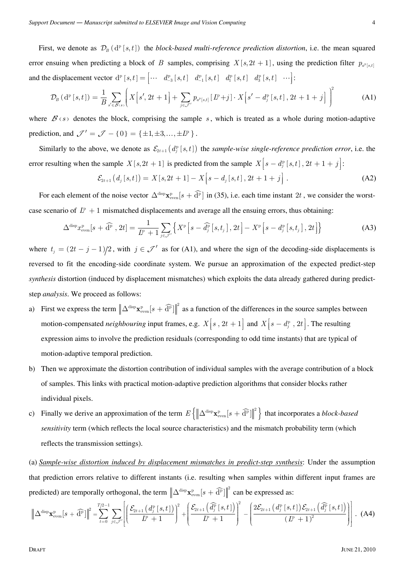First, we denote as  $\mathcal{D}_B$  ( $d^p$  [s, t]) the *block-based multi-reference prediction distortion*, i.e. the mean squared error ensuing when predicting a block of *B* samples, comprising  $X[s, 2t + 1]$ , using the prediction filter  $p_{a^{\text{P}}[s,t]}$ and the displacement vector  $d^p [s,t] = \begin{bmatrix} \cdots & d^p_{-3} [s,t] & d^p_{-1} [s,t] & d^p_1 [s,t] & d^p_3 [s,t] & \cdots \end{bmatrix}$ :

$$
\mathcal{D}_{B}(\mathbf{d}^{\mathbf{p}}[s,t]) = \frac{1}{B} \sum_{s' \in \mathcal{B}(s)} \left[ X\Big[s', 2t+1\Big] + \sum_{j \in \mathcal{J}'} p_{a^{\mathbf{p}}[s,t]} \big[D+j\big] \cdot X\Big[s'-d_j^{\mathbf{p}}\big[s,t\big], 2t+1+j\Big] \right)^2 \tag{A1}
$$

where  $\mathcal{B}(s)$  denotes the block, comprising the sample s, which is treated as a whole during motion-adaptive prediction, and  ${\cal J}' = {\cal J} - \{0\} = {\{\pm 1, \pm 3, ..., \pm L^p\}}$ .

Similarly to the above, we denote as  $\mathcal{E}_{2t+1}(d_i^p [s,t])$  the *sample-wise single-reference prediction error*, i.e. the error resulting when the sample  $X[s, 2t + 1]$  is predicted from the sample  $X[s - d_j^p[s, t], 2t + 1 + j]$ :

$$
\mathcal{E}_{2t+1}(d_j[s,t]) = X[s, 2t+1] - X[s - d_j[s,t], 2t+1+j].
$$
\n(A2)

For each element of the noise vector  $\Delta^{\text{disp}} \mathbf{x}_{\text{even}}^p [s + \widehat{\mathbf{d}}^p]$  in (35), i.e. each time instant 2*t*, we consider the worstcase scenario of  $L^p + 1$  mismatched displacements and average all the ensuing errors, thus obtaining:

$$
\Delta^{\text{disp}} x_{\text{even}}^{\text{p}}[s+\widehat{\mathbf{d}}^{\text{p}},2t] = \frac{1}{L^{\text{p}}+1} \sum_{j \in \mathcal{J}'} \left\{ X^{\text{p}} \left[ s-\widehat{d}_{j}^{\text{p}} \left[ s,t_{j} \right],2t \right] - X^{\text{p}} \left[ s-d_{j}^{\text{p}} \left[ s,t_{j} \right],2t \right] \right\}
$$
(A3)

where  $t_j = (2t - j - 1)/2$ , with  $j \in \mathcal{J}'$  as for (A1), and where the sign of the decoding-side displacements is reversed to fit the encoding-side coordinate system. We pursue an approximation of the expected predict-step *synthesis* distortion (induced by displacement mismatches) which exploits the data already gathered during predictstep *analysis*. We proceed as follows:

- a) First we express the term  $\|\Delta^{\text{disp}}\mathbf{x}_{\text{even}}^p[s+\widehat{\mathbf{d}}^p]\|^2$  as a function of the differences in the source samples between motion-compensated *neighbouring* input frames, e.g.  $X[s, 2t + 1]$  and  $X[s - d_j^p, 2t]$ . The resulting expression aims to involve the prediction residuals (corresponding to odd time instants) that are typical of motion-adaptive temporal prediction.
- b) Then we approximate the distortion contribution of individual samples with the average contribution of a block of samples. This links with practical motion-adaptive prediction algorithms that consider blocks rather individual pixels.
- c) Finally we derive an approximation of the term  $E\left\{\left\|\Delta^{\text{disp}}\mathbf{x}_{\text{even}}^p[s+\widehat{\mathbf{d}}^p]\right\|^2\right\}$  that incorporates a *block-based sensitivity* term (which reflects the local source characteristics) and the mismatch probability term (which reflects the transmission settings).

(a) *Sample-wise distortion induced by displacement mismatches in predict-step synthesis*: Under the assumption that prediction errors relative to different instants (i.e. resulting when samples within different input frames are predicted) are temporally orthogonal, the term  $\left\|\Delta^{\text{disp}}\mathbf{x}_{\text{even}}^p[s+\widehat{\mathbf{d}}^p]\right\|^2$  can be expressed as:

$$
\left\| \Delta^{\text{disp}} \mathbf{x}_{\text{even}}^{\text{p}}[s+\widehat{\mathbf{d}}^{\text{p}}] \right\|^2 = \sum_{t=0}^{T/2-1} \sum_{j \in \mathcal{J}'} \left[ \left( \frac{\mathcal{E}_{2t+1} \left( d_j^{\text{p}} \left[ s,t \right] \right)}{L^{\text{p}}+1} \right)^2 + \left( \frac{\mathcal{E}_{2t+1} \left( \widehat{d}_j^{\text{p}} \left[ s,t \right] \right)}{L^{\text{p}}+1} \right)^2 - \left( \frac{2\mathcal{E}_{2t+1} \left( d_j^{\text{p}} \left[ s,t \right] \right) \mathcal{E}_{2t+1} \left( \widehat{d}_j^{\text{p}} \left[ s,t \right] \right)}{\left( L^{\text{p}}+1 \right)^2} \right) \right].
$$
 (A4)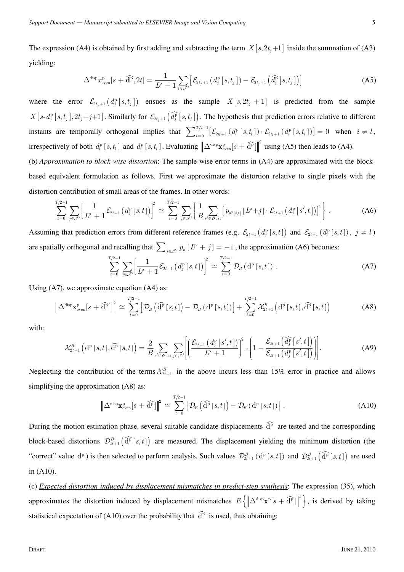The expression (A4) is obtained by first adding and subtracting the term  $X[s, 2t_i+1]$  inside the summation of (A3) yielding:

$$
\Delta^{\text{disp}} x_{\text{even}}^{\text{p}}[s+\widehat{\mathbf{d}}^{\text{p}},2t]=\frac{1}{L^{\text{p}}+1}\sum_{j\in\mathcal{J}'}\left[\mathcal{E}_{2t_j+1}\left(d_j^{\text{p}}\left[s,t_j\right]\right)-\mathcal{E}_{2t_j+1}\left(\widehat{d_j^{\text{p}}}\left[s,t_j\right]\right)\right]
$$
(A5)

where the error  $\mathcal{E}_{2t_j+1}(d_j^p [s, t_j])$  ensues as the sample  $X[s, 2t_j + 1]$  is predicted from the sample  $X[s-d_j^p [s,t_j], 2t_j+j+1]$ . Similarly for  $\mathcal{E}_{2t_j+1}(\widehat{d_j^p}[s,t_j])$ . The hypothesis that prediction errors relative to different instants are temporally orthogonal implies that  $\sum_{t=0}^{T/2-1} \left[ \mathcal{E}_{2t+1}(d_i^{\text{p}}[s,t_i]) \cdot \mathcal{E}_{2t_i+1}(d_i^{\text{p}}[s,t_i]) \right] = 0$  when  $i \neq l$ , irrespectively of both  $d_i^{\text{p}}[s, t_i]$  and  $d_i^{\text{p}}[s, t_i]$ . Evaluating  $\left\| \Delta^{\text{disp}} \mathbf{x}_{\text{even}}^{\text{p}}[s + \widehat{\mathbf{d}}^{\text{p}}] \right\|^2$  using (A5) then leads to (A4).

(b) *Approximation to block-wise distortion*: The sample-wise error terms in (A4) are approximated with the blockbased equivalent formulation as follows. First we approximate the distortion relative to single pixels with the distortion contribution of small areas of the frames. In other words:

$$
\sum_{t=0}^{T/2-1} \sum_{j \in \mathcal{J}'} \left[ \frac{1}{L^p + 1} \mathcal{E}_{2t+1} \left( d_j^{\mathrm{p}} \left[ s, t \right] \right) \right]^2 \simeq \sum_{t=0}^{T/2-1} \sum_{j \in \mathcal{J}'} \left\{ \frac{1}{B} \sum_{s' \in \mathcal{B}(s)} \left[ p_{a^{\mathrm{p}}[s,t]} \left[ L^{\mathrm{p}} + j \right] \cdot \mathcal{E}_{2t+1} \left( d_j^{\mathrm{p}} \left[ s', t \right] \right) \right]^2 \right\} \,.
$$
 (A6)

Assuming that prediction errors from different reference frames (e.g.  $\mathcal{E}_{2t+1}(d_i^p [s,t])$  and  $\mathcal{E}_{2t+1}(d_i^p [s,t])$ ,  $j \neq l$ ) are spatially orthogonal and recalling that  $\sum_{j \in \mathcal{J}'} p_n [L^p + j] = -1$ , the approximation (A6) becomes:

$$
\sum_{t=0}^{T/2-1} \sum_{j \in \mathcal{J}'} \left[ \frac{1}{L^p + 1} \mathcal{E}_{2t+1} \left( d_j^{\mathrm{p}} \left[ s, t \right] \right) \right]^2 \simeq \sum_{t=0}^{T/2-1} \mathcal{D}_B \left( \mathrm{d}^{\mathrm{p}} \left[ s, t \right] \right) . \tag{A7}
$$

Using (A7), we approximate equation (A4) as:

$$
\left\| \Delta^{\text{disp}} \mathbf{x}_{\text{even}}^{\text{p}}[s+\widehat{\mathbf{d}}^{\text{p}}] \right\|^2 \simeq \sum_{t=0}^{T/2-1} \left[ \mathcal{D}_B \left( \widehat{\mathbf{d}}^{\text{p}} \left[ s,t \right] \right) - \mathcal{D}_B \left( \mathbf{d}^{\text{p}} \left[ s,t \right] \right) \right] + \sum_{t=0}^{T/2-1} \mathcal{X}_{2t+1}^B \left( \mathbf{d}^{\text{p}} \left[ s,t \right], \widehat{\mathbf{d}}^{\text{p}} \left[ s,t \right] \right) \tag{A8}
$$

with:

$$
\mathcal{X}_{2t+1}^{B}\left(\mathrm{d}^{p}\left[s,t\right],\widehat{\mathrm{d}}^{p}\left[s,t\right]\right)=\frac{2}{B}\sum_{s'\in\mathcal{B}(s)}\sum_{j\in\mathcal{J}'}\left[\left(\frac{\mathcal{E}_{2t+1}\left(d_{j}^{p}\left[s',t\right]\right)}{L^{p}+1}\right)^{2}\cdot\left(1-\frac{\mathcal{E}_{2t+1}\left(\widehat{d_{j}^{p}}\left[s',t\right]\right)}{\mathcal{E}_{2t+1}\left(d_{j}^{p}\left[s',t\right]\right)}\right)\right].
$$
 (A9)

Neglecting the contribution of the terms  $\mathcal{X}_{2t+1}^B$  in the above incurs less than 15% error in practice and allows simplifying the approximation (A8) as:

$$
\left\| \Delta^{\text{disp}} \mathbf{x}_{\text{even}}^{\text{p}}[s + \widehat{\mathbf{d}}^{\text{p}}] \right\|^2 \simeq \sum_{t=0}^{T/2-1} \left[ \mathcal{D}_B \left( \widehat{\mathbf{d}}^{\text{p}} \left[ s, t \right] \right) - \mathcal{D}_B \left( \mathbf{d}^{\text{p}} \left[ s, t \right] \right) \right]. \tag{A10}
$$

During the motion estimation phase, several suitable candidate displacements  $\widehat{d}^p$  are tested and the corresponding block-based distortions  $\mathcal{D}_{2t+1}^B(\widehat{\mathrm{d}}^p [s,t])$  are measured. The displacement yielding the minimum distortion (the "correct" value  $d^p$ ) is then selected to perform analysis. Such values  $\mathcal{D}_{2t+1}^B(d^p [s,t])$  and  $\mathcal{D}_{2t+1}^B(\widehat{d^p} [s,t])$  are used in (A10).

(c) *Expected distortion induced by displacement mismatches in predict-step synthesis*: The expression (35), which approximates the distortion induced by displacement mismatches  $E\left\{\left\|\Delta^{\text{disp}}\mathbf{x}^{\text{p}}[s+\widehat{\mathbf{d}}^{\text{p}}]\right\|^2\right\}$ , is derived by taking statistical expectation of (A10) over the probability that  $\widehat{d}^{\widehat{p}}$  is used, thus obtaining: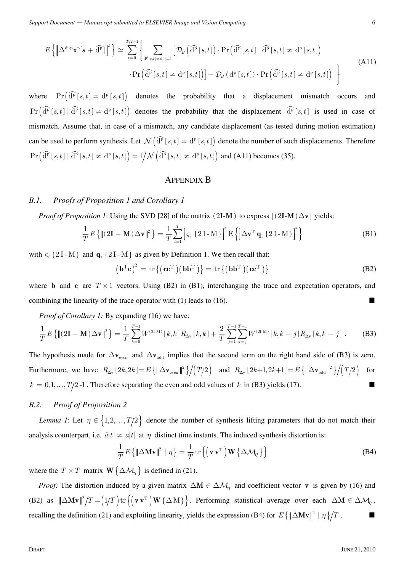$$
E\left\{\left\|\Delta^{\text{disp}}\mathbf{x}^{\text{p}}[s+\widehat{\mathbf{d}}^{\text{p}}]\right\|^{2}\right\} \simeq \sum_{t=0}^{T/2-1} \left\{\sum_{\widehat{\mathbf{d}}^{\text{p}}[s,t]\neq \mathbf{d}^{\text{p}}[s,t]} \left[\mathcal{D}_{B}\left(\widehat{\mathbf{d}}^{\text{p}}[s,t]\right) \cdot \Pr\left(\widehat{\mathbf{d}}^{\text{p}}[s,t] \mid \widehat{\mathbf{d}}^{\text{p}}[s,t]\neq \mathbf{d}^{\text{p}}[s,t]\right)\right] - \mathcal{D}_{B}\left(\mathbf{d}^{\text{p}}[s,t]\right) \cdot \Pr\left(\widehat{\mathbf{d}}^{\text{p}}[s,t]\neq \mathbf{d}^{\text{p}}[s,t]\right)\right\}
$$
\n(A11)

where  $\Pr\left(\widehat{\mathrm{d}}^{\mathrm{p}}[s,t] \neq \mathrm{d}^{\mathrm{p}}[s,t]\right)$  denotes the probability that a displacement mismatch occurs and  $\Pr\left(\widehat{\mathrm{d}}^{\mathrm{p}}[s,t] \mid \widehat{\mathrm{d}}^{\mathrm{p}}[s,t] \neq \mathrm{d}^{\mathrm{p}}[s,t]\right)$  denotes the probability that the displacement  $\widehat{\mathrm{d}}^{\mathrm{p}}[s,t]$  is used in case of mismatch. Assume that, in case of a mismatch, any candidate displacement (as tested during motion estimation) can be used to perform synthesis. Let  $\mathcal{N}(\widehat{\mathrm{d}}^{\mathrm{p}}[s,t] \neq \mathrm{d}^{\mathrm{p}}[s,t])$  denote the number of such displacements. Therefore  $\Pr\left(\widehat{\rm d}^{\widehat{\rm p}}\left[s,t\right] \mid \widehat{\rm d}^{\widehat{\rm p}}\left[s,t\right]\neq\rm d^{\rm p}\left[s,t\right]\right)=1/N\left(\widehat{\rm d}^{\widehat{\rm p}}\left[s,t\right]\neq\rm d^{\rm p}\left[s,t\right]\right)$  and (A11) becomes (35).

#### APPENDIX B

## *B.1. Proofs of Proposition 1 and Corollary 1*

*Proof of Proposition 1*: Using the SVD [28] of the matrix (2I-M) to express  $[(2I-M) \Delta v]$  yields:

$$
\frac{1}{T}E\left\{\left\|\left(2\mathbf{I}-\mathbf{M}\right)\Delta\mathbf{v}\right\|^2\right\} = \frac{1}{T}\sum_{i=1}^T \left[\varsigma_i \left\{2\mathbf{I}-\mathbf{M}\right\}\right]^2 E\left\{\left[\Delta\mathbf{v}^T \mathbf{q}_i \left\{2\mathbf{I}-\mathbf{M}\right\}\right]^2\right\} \tag{B1}
$$

with  $\varsigma_i$  {2I-M} and  $\mathbf{q}_i$  {2I-M} as given by Definition 1. We then recall that:

$$
\left(\mathbf{b}^{\mathrm{T}}\mathbf{c}\right)^{2} = \text{tr}\left\{ \left(\mathbf{c}\mathbf{c}^{\mathrm{T}}\right) \left(\mathbf{b}\mathbf{b}^{\mathrm{T}}\right) \right\} = \text{tr}\left\{ \left(\mathbf{b}\mathbf{b}^{\mathrm{T}}\right) \left(\mathbf{c}\mathbf{c}^{\mathrm{T}}\right) \right\}
$$
(B2)

where **b** and **c** are  $T \times 1$  vectors. Using (B2) in (B1), interchanging the trace and expectation operators, and combining the linearity of the trace operator with  $(1)$  leads to  $(16)$ .

*Proof of Corollary 1:* By expanding (16) we have:

$$
\frac{1}{T}E\left\{\|(2\mathbf{I}-\mathbf{M})\Delta\mathbf{v}\|^2\right\} = \frac{1}{T}\sum_{k=0}^{T-1}W^{(2\text{LM})}\left[k,k\right]R_{\Delta\mathbf{v}}\left[k,k\right] + \frac{2}{T}\sum_{j=1}^{T-1}\sum_{k=j}^{T-1}W^{(2\text{LM})}\left[k,k-j\right]R_{\Delta\mathbf{v}}\left[k,k-j\right].
$$
 (B3)

The hypothesis made for  $\Delta v_{\text{even}}$  and  $\Delta v_{\text{odd}}$  implies that the second term on the right hand side of (B3) is zero. Furthermore, we have  $R_{\Delta v} [2k, 2k] = E \left\{ \|\Delta \mathbf{v}_{\text{even}}\|^2 \right\} / (T/2)$  and  $R_{\Delta v} [2k+1, 2k+1] = E \left\{ \|\Delta \mathbf{v}_{\text{odd}}\|^2 \right\} / (T/2)$  for  $k = 0, 1, \ldots, T/2$  -1. Therefore separating the even and odd values of  $k$  in (B3) yields (17).

## *B.2. Proof of Proposition 2*

*Lemma 1*: Let  $\eta \in \{1, 2, ..., T/2\}$  denote the number of synthesis lifting parameters that do not match their analysis counterpart, i.e.  $\hat{a}[t] \neq a[t]$  at  $\eta$  distinct time instants. The induced synthesis distortion is:

$$
\frac{1}{T}E\left\{\|\Delta \mathbf{M}\mathbf{v}\|^2 \mid \eta\right\} = \frac{1}{T}\mathrm{tr}\left\{\left(\mathbf{v}\,\mathbf{v}^{\mathrm{T}}\right)\mathbf{W}\left\{\Delta \mathcal{M}_{\eta}\right\}\right\} \tag{B4}
$$

where the *T* × *T* matrix **W** $\{\Delta \mathcal{M}_\eta\}$  is defined in (21).

*Proof:* The distortion induced by a given matrix  $\Delta M \in \Delta M$ <sub>*n*</sub> and coefficient vector **v** is given by (16) and (B2) as  $||\Delta M v||^2 / T = (1/T) \text{tr} \{ (v v^T) W {\Delta M} \}$ . Performing statistical average over each  $\Delta M \in \Delta M_\eta$ , recalling the definition (21) and exploiting linearity, yields the expression (B4) for  $E\{\|\Delta Mv\|^2 \mid \eta\}/T$ .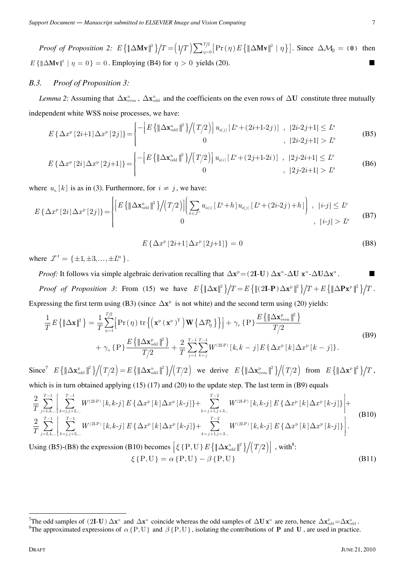*Proof of Proposition 2:*  $E\left\{\|\Delta \mathbf{M} \mathbf{v}\|^2\right\} / T = \left(\frac{1}{T}\right) \sum_{\eta=0}^{T/2} \left[\Pr(\eta) E\left\{\|\Delta \mathbf{M} \mathbf{v}\|^2 \mid \eta\right\}\right]$ . Since  $\Delta \mathcal{M}_0 = \{0\}$  then  $E\{\|\Delta Mv\|^2 \mid \eta = 0\} = 0$ . Employing (B4) for  $\eta > 0$  yields (20).

#### *B.3. Proof of Proposition 3:*

*Lemma 2*: Assuming that  $\Delta x^u_{\text{even}}$ ,  $\Delta x^u_{\text{odd}}$  and the coefficients on the even rows of  $\Delta U$  constitute three mutually independent white WSS noise processes, we have:

$$
E\left\{\Delta x^{\mathbf{p}}\left[2i+1\right]\Delta x^{\mathbf{p}}\left[2j\right]\right\} = \begin{cases} -\left[E\left\{\left\|\Delta\mathbf{x}_{\text{odd}}^{\mathbf{u}}\right\|^2\right\}\right/\left(T/2\right)\right]u_{a[j]}\left[L^{\mathbf{u}} + \left(2i+1-2j\right)\right] & , & |2i-2j+1| \leq L^{\mathbf{u}}\\ 0 & , & |2i-2j+1| > L^{\mathbf{u}} \end{cases}
$$
\n(B5)

$$
E\left\{\Delta x^{\mathrm{p}}\left[2i\right]\Delta x^{\mathrm{p}}\left[2j+1\right]\right\} = \begin{cases} -\left[E\left\{\left\|\Delta \mathbf{x}_{\mathrm{odd}}^{\mathrm{u}}\right\|^2\right\}\right/\left(T/2\right)\right]u_{a[i]}\left[L^{\mathrm{u}} + (2j+1-2i)\right] & , & |2j-2i+1| \leq L^{\mathrm{u}}\\ 0 & , & |2j-2i+1| > L^{\mathrm{u}} \end{cases}
$$
(B6)

where  $u_n[k]$  is as in (3). Furthermore, for  $i \neq j$ , we have:

$$
E\left\{\Delta x^{\mathrm{p}}\left[2i\right]\Delta x^{\mathrm{p}}\left[2j\right]\right\} = \begin{cases} \left[E\left\{\left\|\Delta\mathbf{x}_{\mathrm{odd}}^{\mathrm{u}}\right\|^{2}\right\}\right/\left(T/2\right)\right] \left(\sum_{h\in\mathcal{I}'} u_{a[i]}\left[L^{\mathrm{u}}+h\right]u_{a[j]}\left[L^{\mathrm{u}}+(2i\text{-}2j)+h\right]\right) & , & |i\text{-}j| \leq L^{\mathrm{u}}\\ 0 & , & |i\text{-}j| > L^{\mathrm{u}} \end{cases} \tag{B7}
$$

$$
E\{\Delta x^{p} [2i+1]\Delta x^{p} [2j+1]\} = 0
$$
 (B8)

where  $\mathcal{I}' = {\pm 1, \pm 3, ..., \pm L^u}$ .

*Proof:* It follows via simple algebraic derivation recalling that  $\Delta x^p = (2I - U) \Delta x^u - \Delta U \Delta x^u$ .

*Proof of Proposition 3*: From (15) we have  $E\left\{\|\Delta \mathbf{x}\|^2\right\}/T = E\left\{\|(2\mathbf{I}\cdot\mathbf{P})\Delta \mathbf{x}^p\|^2\right\}/T + E\left\{\|\Delta \mathbf{P} \mathbf{x}^p\|^2\right\}/T$ . Expressing the first term using (B3) (since  $\Delta x^p$  is not white) and the second term using (20) yields:

$$
\frac{1}{T}E\left\{\left\|\Delta\mathbf{x}\right\|^2\right\} = \frac{1}{T}\sum_{\eta=1}^{T/2}\left[\Pr\left(\eta\right)\operatorname{tr}\left\{\left(\mathbf{x}^{\mathrm{p}}\left(\mathbf{x}^{\mathrm{p}}\right)^{\mathrm{T}}\right)\mathbf{W}\left\{\Delta\mathcal{P}_{\eta}\right\}\right\}\right] + \gamma_{\mathrm{e}}\left\{\mathrm{P}\right\}\frac{E\left\{\left\|\Delta\mathbf{x}_{\mathrm{even}}^{\mathrm{p}}\right\|^2\right\}}{T/2} + \gamma_{\mathrm{o}}\left\{\mathrm{P}\right\}\frac{E\left\{\left\|\Delta\mathbf{x}_{\mathrm{odd}}^{\mathrm{p}}\right\|^2\right\}}{T/2} + \frac{2}{T}\sum_{j=1}^{T-1}\sum_{k=j}^{T-1}W^{(2\mathrm{LP})}\left[k,k-j\right]E\left\{\Delta x^{\mathrm{p}}\left[k\right]\Delta x^{\mathrm{p}}\left[k-j\right]\right\}.\tag{B9}
$$

 ${\rm Since}^7$   $E\{\|\Delta \mathbf{x}_{\rm odd}^{\rm p}\|^2\}/(T/2) = E\{\|\Delta \mathbf{x}_{\rm odd}^{\rm u}\|^2\}/(T/2)$  we derive  $E\{\|\Delta \mathbf{x}_{\rm even}^{\rm p}\|^2\}/(T/2)$  from  $E\{\|\Delta \mathbf{x}^{\rm p}\|^2\}/T$ , which is in turn obtained applying (15) (17) and (20) to the update step. The last term in (B9) equals

$$
\frac{2}{T} \sum_{j=1,3,...}^{T-1} \left[ \sum_{k=j,j+2,...}^{T-1} W^{(2\text{LP})} \left[ k, k-j \right] E \left\{ \Delta x^p \left[ k \right] \Delta x^p \left[ k-j \right] \right\} + \sum_{k=j+1,j+3...}^{T-2} W^{(2\text{LP})} \left[ k, k-j \right] E \left\{ \Delta x^p \left[ k \right] \Delta x^p \left[ k \right] \right\} \right] + \frac{2}{T} \sum_{j=2,4,...}^{T-1} \left[ \sum_{k=j,j+2,...}^{T-1} W^{(2\text{LP})} \left[ k, k-j \right] E \left\{ \Delta x^p \left[ k \right] \Delta x^p \left[ k-j \right] \right\} + \sum_{k=j+1,j+3...}^{T-2} W^{(2\text{LP})} \left[ k, k-j \right] E \left\{ \Delta x^p \left[ k \right] \Delta x^p \left[ k-j \right] \right\} \right].
$$
\n(B10)

\nUsing (P5), (P8), the expression (P10) becomes  $\left[ \epsilon$  (P, U),  $E \left[ \left[ \Delta x^u \right] - \left[ \left[ k, k-j \right] \right] \right] - \left[ \left[ \left[ \Delta x^p \right] \right] \right]$ .

Using (B5)-(B8) the expression (B10) becomes  $\left[\xi\{\text{P},\text{U}\}\,E\left\{\|\Delta\mathbf{x}_{\text{odd}}^{\text{u}}\|^2\right\}\bigg/\bigg(\,T/2\bigg)\right]$ , with<sup>8</sup>:  $\zeta$  {P,U} =  $\alpha$  {P,U} -  $\beta$  {P,U} (B11)

The odd samples of  $(2I-U) \Delta x^u$  and  $\Delta x^u$  coincide whereas the odd samples of  $\Delta U x^u$  are zero, hence  $\Delta x^u_{\text{odd}} = \Delta x^u_{\text{odd}}$ .

<sup>&</sup>lt;sup>8</sup>The approximated expressions of  $\alpha$  { P, U } and  $\beta$  { P, U }, isolating the contributions of **P** and **U**, are used in practice.